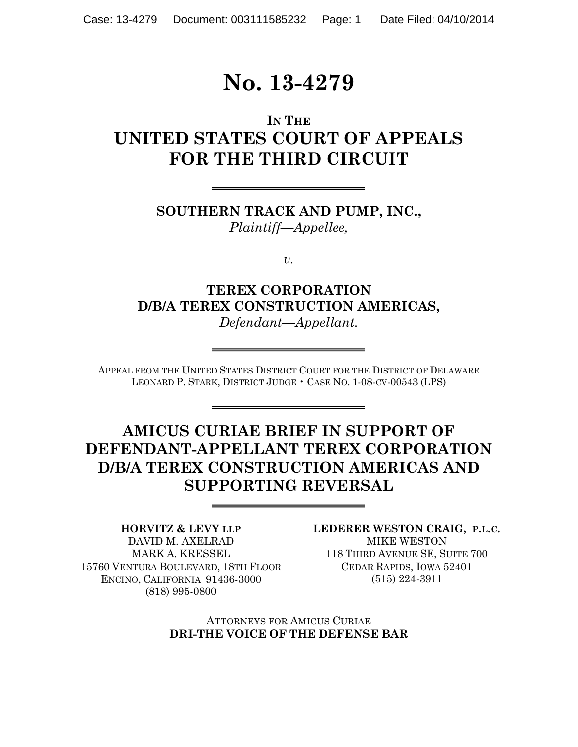# **No. 13-4279**

# **IN THE UNITED STATES COURT OF APPEALS FOR THE THIRD CIRCUIT**

**SOUTHERN TRACK AND PUMP, INC.,** *Plaintiff—Appellee,*

*v.*

**TEREX CORPORATION D/B/A TEREX CONSTRUCTION AMERICAS,** *Defendant—Appellant.*

APPEAL FROM THE UNITED STATES DISTRICT COURT FOR THE DISTRICT OF DELAWARE LEONARD P. STARK, DISTRICT JUDGE • CASE NO. 1-08-CV-00543 (LPS)

# **AMICUS CURIAE BRIEF IN SUPPORT OF DEFENDANT-APPELLANT TEREX CORPORATION D/B/A TEREX CONSTRUCTION AMERICAS AND SUPPORTING REVERSAL**

**HORVITZ & LEVY LLP** DAVID M. AXELRAD MARK A. KRESSEL 15760 VENTURA BOULEVARD, 18TH FLOOR ENCINO, CALIFORNIA 91436-3000 (818) 995-0800

**LEDERER WESTON CRAIG, P.L.C.** MIKE WESTON 118 THIRD AVENUE SE, SUITE 700 CEDAR RAPIDS, IOWA 52401 (515) 224-3911

ATTORNEYS FOR AMICUS CURIAE **DRI-THE VOICE OF THE DEFENSE BAR**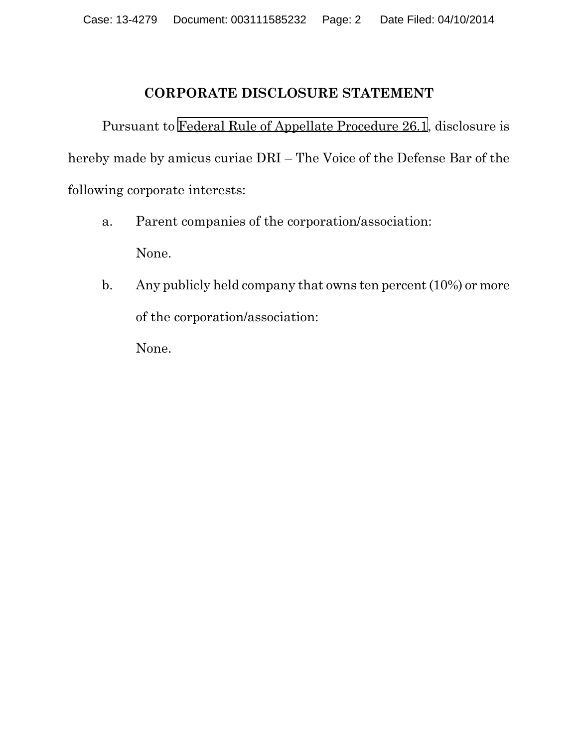#### **CORPORATE DISCLOSURE STATEMENT**

Pursuant to [Federal Rule of Appellate Procedure 26.1](https://web2.westlaw.com/find/default.wl?cite=FRAP+26.1&rs=WLW12.07&vr=2.0&rp=%2ffind%2fdefault.wl&sv=Split&fn=_top&mt=Westlaw&clientid=USCA3), disclosure is hereby made by amicus curiae DRI – The Voice of the Defense Bar of the following corporate interests:

- a. Parent companies of the corporation/association: None.
- b. Any publicly held company that owns ten percent (10%) or more of the corporation/association:

None.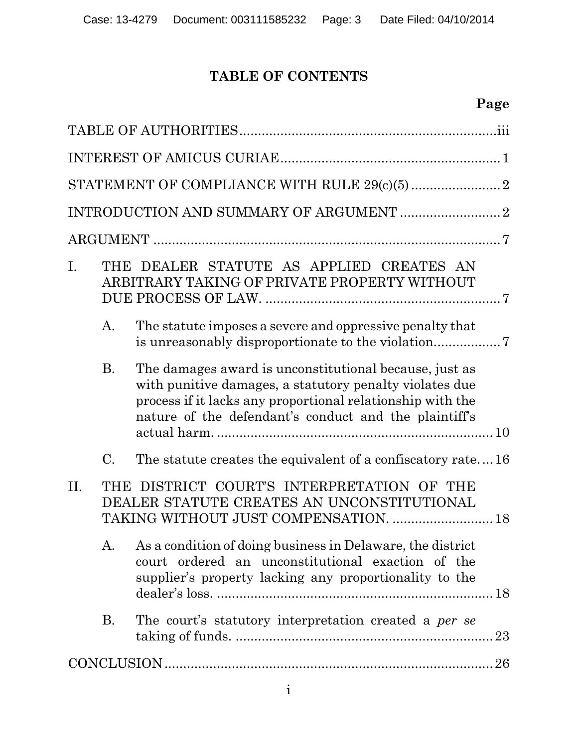## **TABLE OF CONTENTS**

# **Page**

| I. |           | THE DEALER STATUTE AS APPLIED CREATES AN<br>ARBITRARY TAKING OF PRIVATE PROPERTY WITHOUT                                                                                                                                                 |  |  |
|----|-----------|------------------------------------------------------------------------------------------------------------------------------------------------------------------------------------------------------------------------------------------|--|--|
|    | A.        | The statute imposes a severe and oppressive penalty that                                                                                                                                                                                 |  |  |
|    | <b>B.</b> | The damages award is unconstitutional because, just as<br>with punitive damages, a statutory penalty violates due<br>process if it lacks any proportional relationship with the<br>nature of the defendant's conduct and the plaintiff's |  |  |
|    | C.        | The statute creates the equivalent of a confiscatory rate16                                                                                                                                                                              |  |  |
| H. |           | THE DISTRICT COURT'S INTERPRETATION OF THE<br>DEALER STATUTE CREATES AN UNCONSTITUTIONAL<br>TAKING WITHOUT JUST COMPENSATION.  18                                                                                                        |  |  |
|    | A.        | As a condition of doing business in Delaware, the district<br>court ordered an unconstitutional exaction of the<br>supplier's property lacking any proportionality to the                                                                |  |  |
|    | <b>B.</b> | The court's statutory interpretation created a <i>per se</i>                                                                                                                                                                             |  |  |
|    |           |                                                                                                                                                                                                                                          |  |  |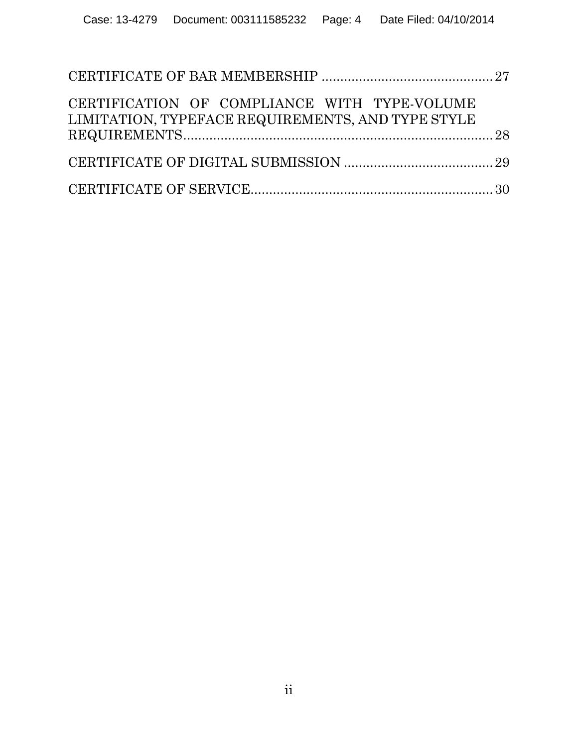| CERTIFICATION OF COMPLIANCE WITH TYPE-VOLUME<br>LIMITATION, TYPEFACE REQUIREMENTS, AND TYPE STYLE |  |
|---------------------------------------------------------------------------------------------------|--|
|                                                                                                   |  |
|                                                                                                   |  |
|                                                                                                   |  |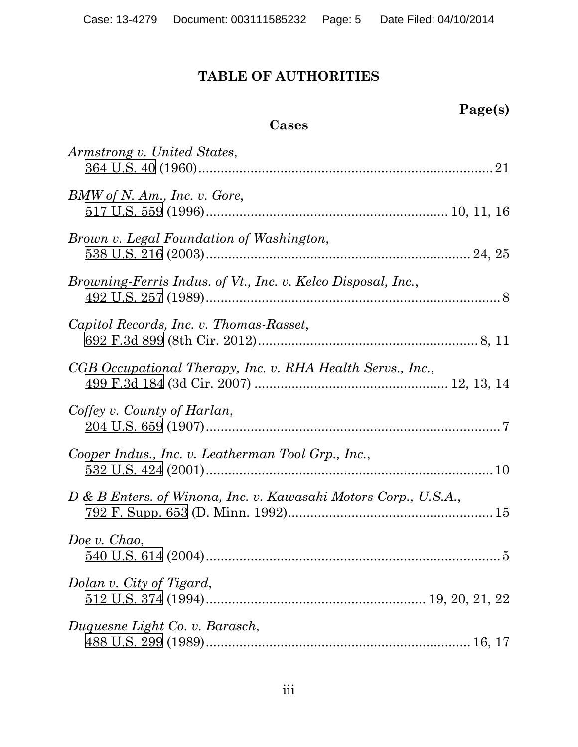## **TABLE OF AUTHORITIES**

**Page(s)**

| Cases                                                           |
|-----------------------------------------------------------------|
| Armstrong v. United States,                                     |
| BMW of N. Am., Inc. v. Gore,                                    |
| Brown v. Legal Foundation of Washington,                        |
| Browning-Ferris Indus. of Vt., Inc. v. Kelco Disposal, Inc.,    |
| Capitol Records, Inc. v. Thomas-Rasset,                         |
| CGB Occupational Therapy, Inc. v. RHA Health Servs., Inc.,      |
| Coffey v. County of Harlan,                                     |
| Cooper Indus., Inc. v. Leatherman Tool Grp., Inc.,              |
| D & B Enters. of Winona, Inc. v. Kawasaki Motors Corp., U.S.A., |
| Doe v. Chao,                                                    |
| Dolan v. City of Tigard,                                        |
| Duquesne Light Co. v. Barasch,                                  |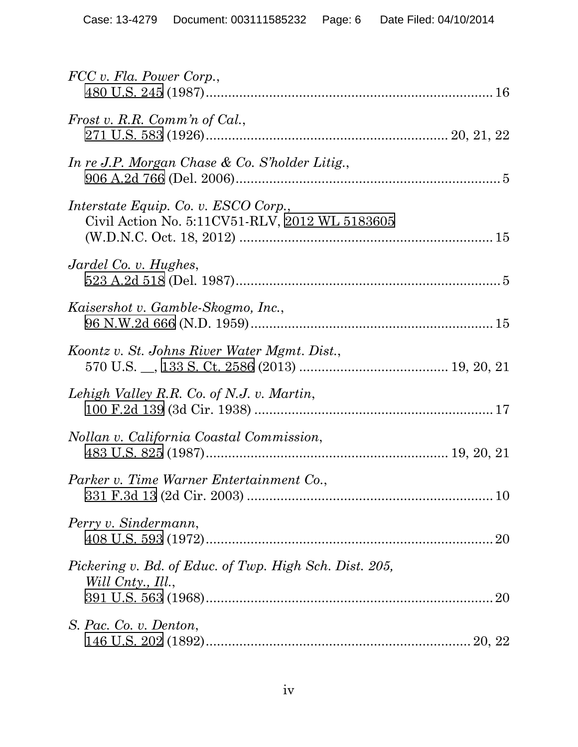| FCC v. Fla. Power Corp.,                                                               |  |
|----------------------------------------------------------------------------------------|--|
| Frost v. R.R. Comm'n of Cal.,                                                          |  |
| In re J.P. Morgan Chase & Co. S'holder Litig.,                                         |  |
| Interstate Equip. Co. v. ESCO Corp.,<br>Civil Action No. 5:11CV51-RLV, 2012 WL 5183605 |  |
| Jardel Co. v. Hughes,                                                                  |  |
| Kaisershot v. Gamble-Skogmo, Inc.,                                                     |  |
| Koontz v. St. Johns River Water Mgmt. Dist.,                                           |  |
| Lehigh Valley R.R. Co. of N.J. v. Martin,                                              |  |
| Nollan v. California Coastal Commission,                                               |  |
| Parker v. Time Warner Entertainment Co.,                                               |  |
| Perry v. Sindermann,                                                                   |  |
| Pickering v. Bd. of Educ. of Twp. High Sch. Dist. 205,<br>Will Cnty., Ill.,            |  |
| S. Pac. Co. v. Denton,                                                                 |  |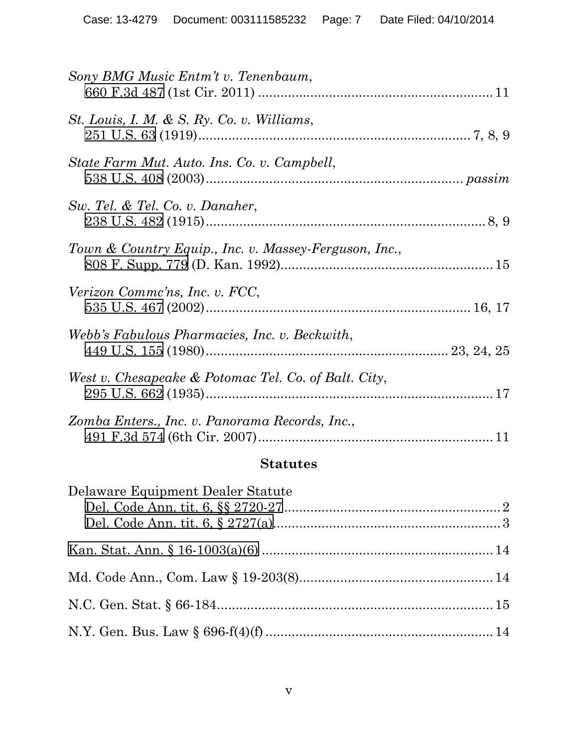| Sony BMG Music Entm't v. Tenenbaum,                   |  |
|-------------------------------------------------------|--|
| St. Louis, I. M. & S. Ry. Co. v. Williams,            |  |
| State Farm Mut. Auto. Ins. Co. v. Campbell,           |  |
| Sw. Tel. & Tel. Co. v. Danaher,                       |  |
| Town & Country Equip., Inc. v. Massey-Ferguson, Inc., |  |
| Verizon Commc'ns, Inc. v. FCC,                        |  |
| Webb's Fabulous Pharmacies, Inc. v. Beckwith,         |  |
| West v. Chesapeake & Potomac Tel. Co. of Balt. City,  |  |
| Zomba Enters., Inc. v. Panorama Records, Inc.,        |  |
|                                                       |  |

# **Statutes**

| Delaware Equipment Dealer Statute |  |
|-----------------------------------|--|
|                                   |  |
|                                   |  |
|                                   |  |
|                                   |  |
|                                   |  |
|                                   |  |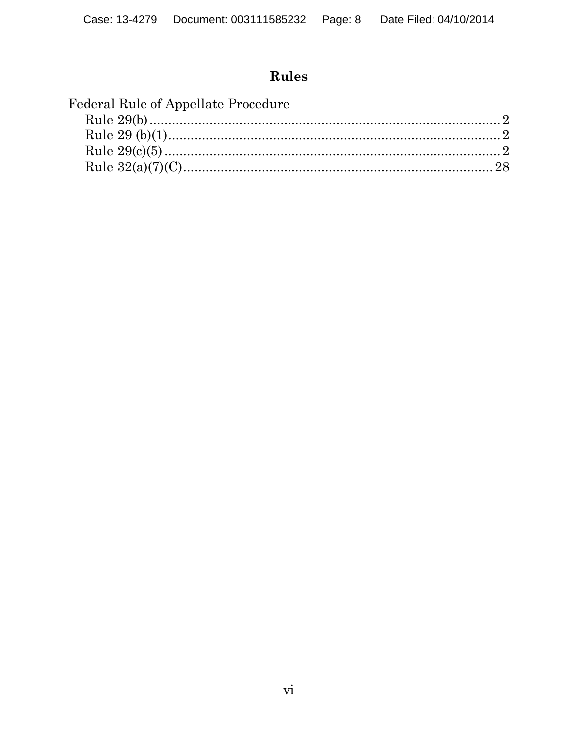# Rules

| Federal Rule of Appellate Procedure |  |
|-------------------------------------|--|
|                                     |  |
|                                     |  |
|                                     |  |
|                                     |  |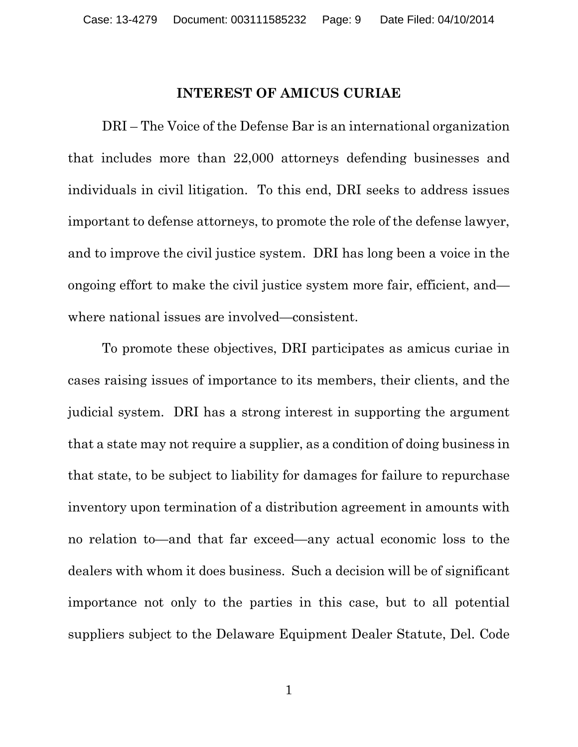#### **INTEREST OF AMICUS CURIAE**

DRI – The Voice of the Defense Bar is an international organization that includes more than 22,000 attorneys defending businesses and individuals in civil litigation. To this end, DRI seeks to address issues important to defense attorneys, to promote the role of the defense lawyer, and to improve the civil justice system. DRI has long been a voice in the ongoing effort to make the civil justice system more fair, efficient, and where national issues are involved—consistent.

To promote these objectives, DRI participates as amicus curiae in cases raising issues of importance to its members, their clients, and the judicial system. DRI has a strong interest in supporting the argument that a state may not require a supplier, as a condition of doing business in that state, to be subject to liability for damages for failure to repurchase inventory upon termination of a distribution agreement in amounts with no relation to—and that far exceed—any actual economic loss to the dealers with whom it does business. Such a decision will be of significant importance not only to the parties in this case, but to all potential suppliers subject to the Delaware Equipment Dealer Statute, Del. Code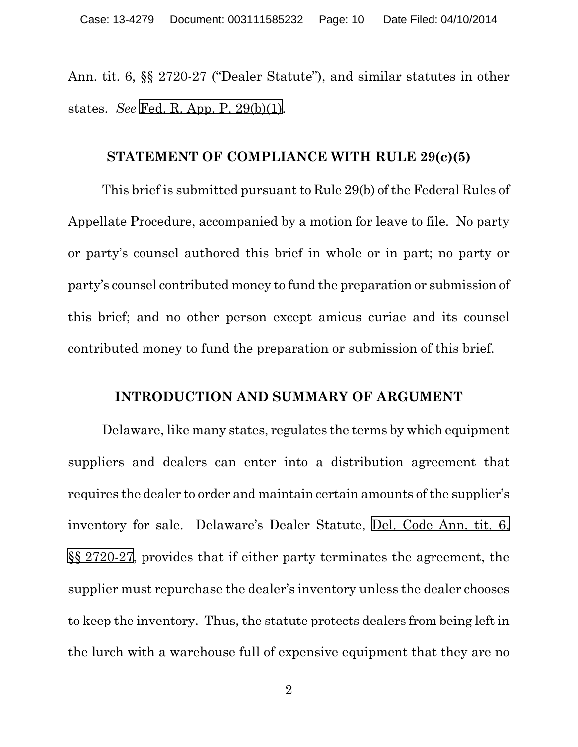Ann. tit. 6, §§ 2720-27 ("Dealer Statute"), and similar statutes in other states. *See* [Fed. R. App. P. 29\(b\)\(1\)](https://web2.westlaw.com/find/default.wl?cite=FRAP+29(b)(1)&rs=WLW12.07&vr=2.0&rp=%2ffind%2fdefault.wl&sv=Split&fn=_top&mt=Westlaw&clientid=USCA3).

#### **STATEMENT OF COMPLIANCE WITH RULE 29(c)(5)**

This brief is submitted pursuant to Rule 29(b) of the Federal Rules of Appellate Procedure, accompanied by a motion for leave to file. No party or party's counsel authored this brief in whole or in part; no party or party's counsel contributed money to fund the preparation or submission of this brief; and no other person except amicus curiae and its counsel contributed money to fund the preparation or submission of this brief.

#### **INTRODUCTION AND SUMMARY OF ARGUMENT**

Delaware, like many states, regulates the terms by which equipment suppliers and dealers can enter into a distribution agreement that requires the dealer to order and maintain certain amounts of the supplier's inventory for sale. Delaware's Dealer Statute, [Del. Code Ann. tit. 6,](https://web2.westlaw.com/find/default.wl?cite=null&rs=WLW12.07&vr=2.0&rp=%2ffind%2fdefault.wl&sv=Split&fn=_top&mt=Westlaw&clientid=USCA3)  §§ [2720-27](https://web2.westlaw.com/find/default.wl?cite=null&rs=WLW12.07&vr=2.0&rp=%2ffind%2fdefault.wl&sv=Split&fn=_top&mt=Westlaw&clientid=USCA3), provides that if either party terminates the agreement, the supplier must repurchase the dealer's inventory unless the dealer chooses to keep the inventory. Thus, the statute protects dealers from being left in the lurch with a warehouse full of expensive equipment that they are no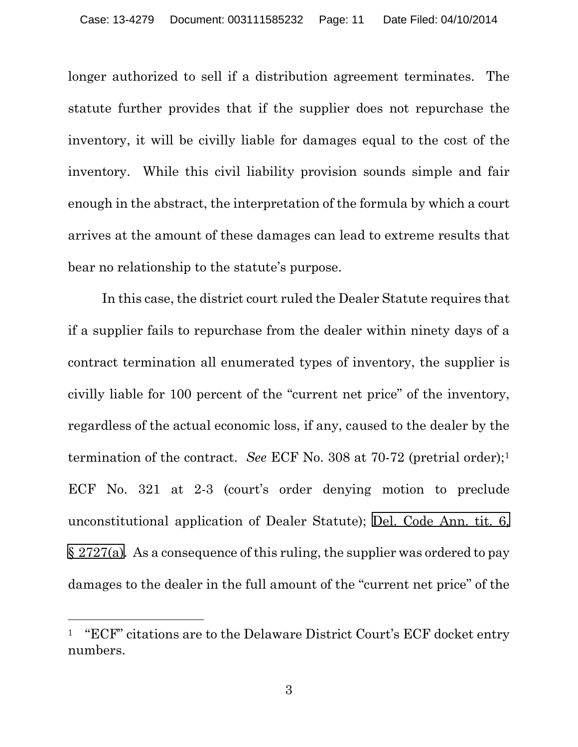longer authorized to sell if a distribution agreement terminates. The statute further provides that if the supplier does not repurchase the inventory, it will be civilly liable for damages equal to the cost of the inventory. While this civil liability provision sounds simple and fair enough in the abstract, the interpretation of the formula by which a court arrives at the amount of these damages can lead to extreme results that bear no relationship to the statute's purpose.

In this case, the district court ruled the Dealer Statute requires that if a supplier fails to repurchase from the dealer within ninety days of a contract termination all enumerated types of inventory, the supplier is civilly liable for 100 percent of the "current net price" of the inventory, regardless of the actual economic loss, if any, caused to the dealer by the termination of the contract. *See* ECF No. 308 at 70-72 (pretrial order);[1](#page-10-0) ECF No. 321 at 2-3 (court's order denying motion to preclude unconstitutional application of Dealer Statute); [Del. Code Ann. tit. 6,](https://web2.westlaw.com/find/default.wl?cite=null&rs=WLW12.07&vr=2.0&rp=%2ffind%2fdefault.wl&sv=Split&fn=_top&mt=Westlaw&clientid=USCA3) § [2727\(a\)](https://web2.westlaw.com/find/default.wl?cite=null&rs=WLW12.07&vr=2.0&rp=%2ffind%2fdefault.wl&sv=Split&fn=_top&mt=Westlaw&clientid=USCA3). As a consequence of this ruling, the supplier was ordered to pay damages to the dealer in the full amount of the "current net price" of the

l

<span id="page-10-0"></span><sup>1</sup> "ECF" citations are to the Delaware District Court's ECF docket entry numbers.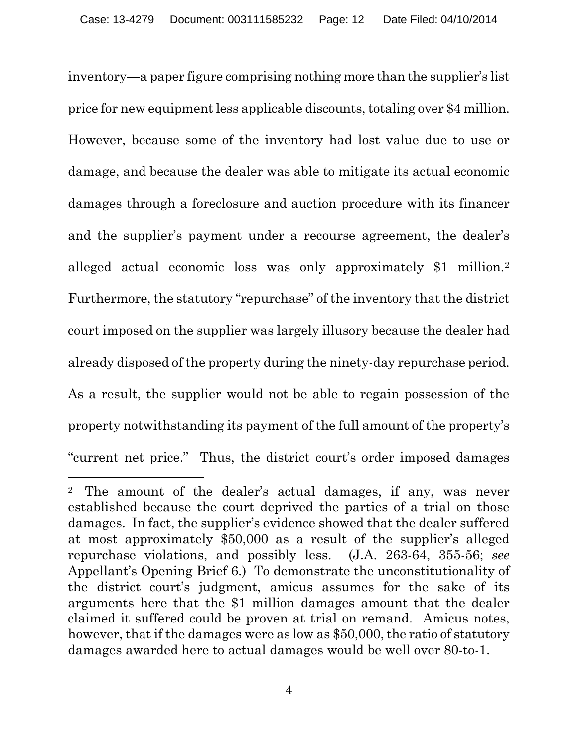inventory—a paper figure comprising nothing more than the supplier's list price for new equipment less applicable discounts, totaling over \$4 million. However, because some of the inventory had lost value due to use or damage, and because the dealer was able to mitigate its actual economic damages through a foreclosure and auction procedure with its financer and the supplier's payment under a recourse agreement, the dealer's alleged actual economic loss was only approximately \$1 million.[2](#page-11-0) Furthermore, the statutory "repurchase" of the inventory that the district court imposed on the supplier was largely illusory because the dealer had already disposed of the property during the ninety-day repurchase period. As a result, the supplier would not be able to regain possession of the property notwithstanding its payment of the full amount of the property's "current net price." Thus, the district court's order imposed damages

<span id="page-11-0"></span> $\overline{a}$ <sup>2</sup> The amount of the dealer's actual damages, if any, was never established because the court deprived the parties of a trial on those damages. In fact, the supplier's evidence showed that the dealer suffered at most approximately \$50,000 as a result of the supplier's alleged repurchase violations, and possibly less. (J.A. 263-64, 355-56; *see* Appellant's Opening Brief 6.) To demonstrate the unconstitutionality of the district court's judgment, amicus assumes for the sake of its arguments here that the \$1 million damages amount that the dealer claimed it suffered could be proven at trial on remand. Amicus notes, however, that if the damages were as low as \$50,000, the ratio of statutory damages awarded here to actual damages would be well over 80-to-1.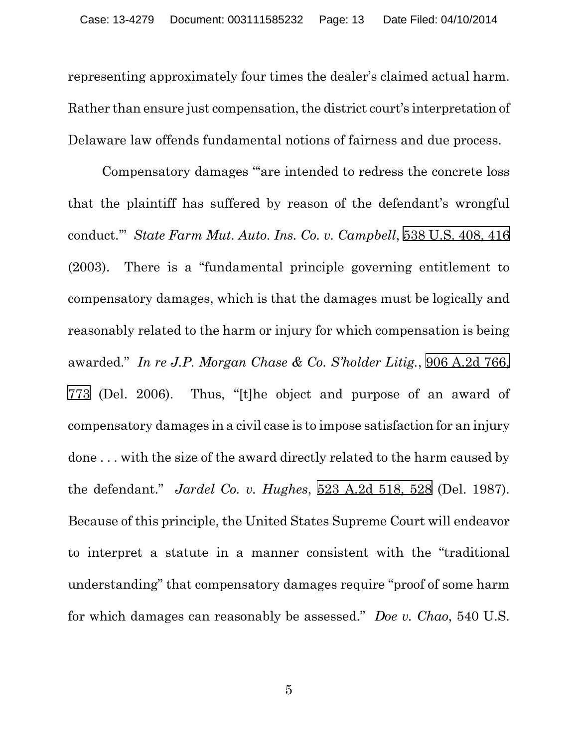representing approximately four times the dealer's claimed actual harm. Rather than ensure just compensation, the district court's interpretation of Delaware law offends fundamental notions of fairness and due process.

<span id="page-12-3"></span><span id="page-12-2"></span><span id="page-12-1"></span><span id="page-12-0"></span>Compensatory damages "'are intended to redress the concrete loss that the plaintiff has suffered by reason of the defendant's wrongful conduct.'" *State Farm Mut. Auto. Ins. Co. v. Campbell*, [538 U.S. 408, 416](https://web2.westlaw.com/find/default.wl?cite=538+u.s.+408&referenceposition=416&referencepositiontype=s&rs=WLW12.07&vr=2.0&rp=%2ffind%2fdefault.wl&sv=Split&fn=_top&mt=Westlaw&clientid=USCA3)  (2003). There is a "fundamental principle governing entitlement to compensatory damages, which is that the damages must be logically and reasonably related to the harm or injury for which compensation is being awarded." *In re J.P. Morgan Chase & Co. S'holder Litig.*, [906 A.2d 766,](https://web2.westlaw.com/find/default.wl?cite=906+a.2d+766&referenceposition=773&referencepositiontype=s&rs=WLW12.07&vr=2.0&rp=%2ffind%2fdefault.wl&sv=Split&fn=_top&mt=Westlaw&clientid=USCA3)  [773](https://web2.westlaw.com/find/default.wl?cite=906+a.2d+766&referenceposition=773&referencepositiontype=s&rs=WLW12.07&vr=2.0&rp=%2ffind%2fdefault.wl&sv=Split&fn=_top&mt=Westlaw&clientid=USCA3) (Del. 2006). Thus, "[t]he object and purpose of an award of compensatory damages in a civil case is to impose satisfaction for an injury done . . . with the size of the award directly related to the harm caused by the defendant." *Jardel Co. v. Hughes*, [523 A.2d 518, 528](https://web2.westlaw.com/find/default.wl?cite=523+a.2d+518&referenceposition=528&referencepositiontype=s&rs=WLW12.07&vr=2.0&rp=%2ffind%2fdefault.wl&sv=Split&fn=_top&mt=Westlaw&clientid=USCA3) (Del. 1987). Because of this principle, the United States Supreme Court will endeavor to interpret a statute in a manner consistent with the "traditional understanding" that compensatory damages require "proof of some harm for which damages can reasonably be assessed." *Doe v. Chao*, 540 U.S.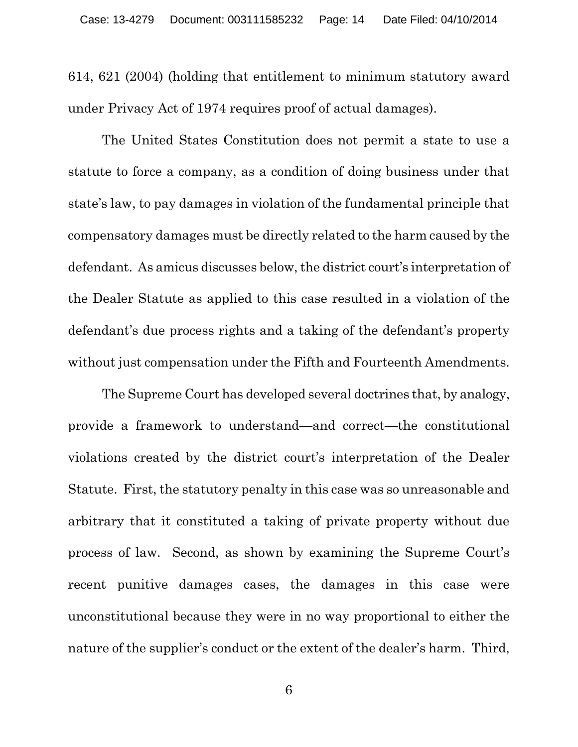614, 621 (2004) (holding that entitlement to minimum statutory award under Privacy Act of 1974 requires proof of actual damages).

The United States Constitution does not permit a state to use a statute to force a company, as a condition of doing business under that state's law, to pay damages in violation of the fundamental principle that compensatory damages must be directly related to the harm caused by the defendant. As amicus discusses below, the district court's interpretation of the Dealer Statute as applied to this case resulted in a violation of the defendant's due process rights and a taking of the defendant's property without just compensation under the Fifth and Fourteenth Amendments.

The Supreme Court has developed several doctrines that, by analogy, provide a framework to understand—and correct—the constitutional violations created by the district court's interpretation of the Dealer Statute. First, the statutory penalty in this case was so unreasonable and arbitrary that it constituted a taking of private property without due process of law. Second, as shown by examining the Supreme Court's recent punitive damages cases, the damages in this case were unconstitutional because they were in no way proportional to either the nature of the supplier's conduct or the extent of the dealer's harm. Third,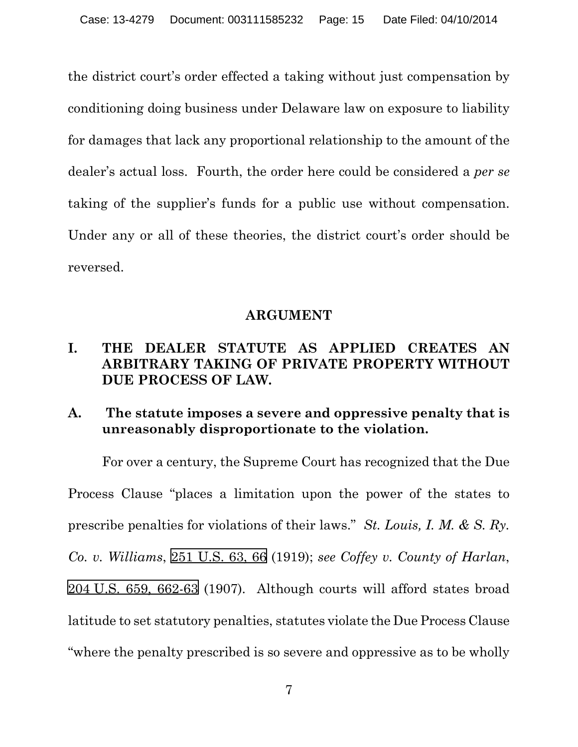the district court's order effected a taking without just compensation by conditioning doing business under Delaware law on exposure to liability for damages that lack any proportional relationship to the amount of the dealer's actual loss. Fourth, the order here could be considered a *per se* taking of the supplier's funds for a public use without compensation. Under any or all of these theories, the district court's order should be reversed.

#### <span id="page-14-1"></span><span id="page-14-0"></span>**ARGUMENT**

## **I. THE DEALER STATUTE AS APPLIED CREATES AN ARBITRARY TAKING OF PRIVATE PROPERTY WITHOUT DUE PROCESS OF LAW.**

## **A. The statute imposes a severe and oppressive penalty that is unreasonably disproportionate to the violation.**

For over a century, the Supreme Court has recognized that the Due Process Clause "places a limitation upon the power of the states to prescribe penalties for violations of their laws." *St. Louis, I. M. & S. Ry. Co. v. Williams*, [251 U.S. 63, 66](https://web2.westlaw.com/find/default.wl?cite=251+u.s.+63&referenceposition=66&referencepositiontype=s&rs=WLW12.07&vr=2.0&rp=%2ffind%2fdefault.wl&sv=Split&fn=_top&mt=Westlaw&clientid=USCA3) (1919); *see Coffey v. County of Harlan*, 204 [U.S. 659, 662-63](https://web2.westlaw.com/find/default.wl?cite=204+u.s.+659&referenceposition=662&referencepositiontype=s&rs=WLW12.07&vr=2.0&rp=%2ffind%2fdefault.wl&sv=Split&fn=_top&mt=Westlaw&clientid=USCA3) (1907). Although courts will afford states broad latitude to set statutory penalties, statutes violate the Due Process Clause "where the penalty prescribed is so severe and oppressive as to be wholly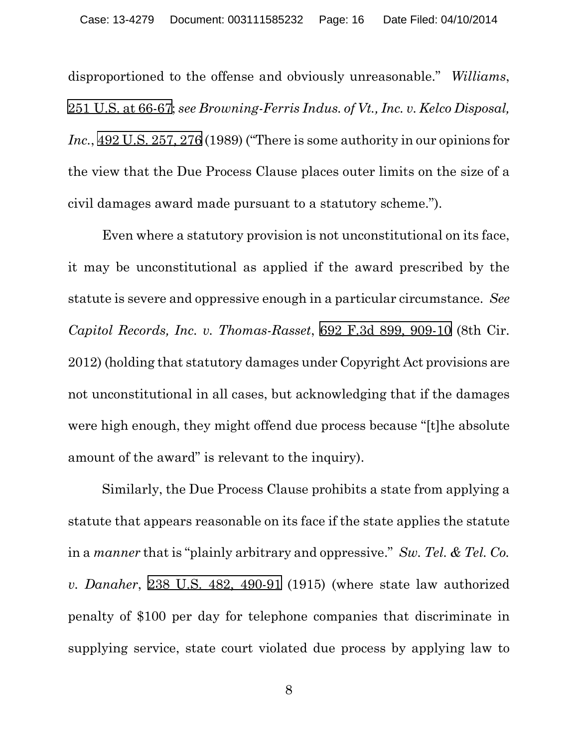<span id="page-15-2"></span><span id="page-15-0"></span>disproportioned to the offense and obviously unreasonable." *Williams*, 251 [U.S. at 66-67](https://web2.westlaw.com/find/default.wl?cite=251+u.s.+63&referenceposition=66&referencepositiontype=s&rs=WLW12.07&vr=2.0&rp=%2ffind%2fdefault.wl&sv=Split&fn=_top&mt=Westlaw&clientid=USCA3); *see Browning-Ferris Indus. of Vt., Inc. v. Kelco Disposal, Inc.*, [492 U.S. 257, 276](https://web2.westlaw.com/find/default.wl?cite=492+u.s.+257&referenceposition=276&referencepositiontype=s&rs=WLW12.07&vr=2.0&rp=%2ffind%2fdefault.wl&sv=Split&fn=_top&mt=Westlaw&clientid=USCA3) (1989) ("There is some authority in our opinions for the view that the Due Process Clause places outer limits on the size of a civil damages award made pursuant to a statutory scheme.").

<span id="page-15-1"></span>Even where a statutory provision is not unconstitutional on its face, it may be unconstitutional as applied if the award prescribed by the statute is severe and oppressive enough in a particular circumstance. *See Capitol Records, Inc. v. Thomas-Rasset*, [692 F.3d 899, 909-10](https://web2.westlaw.com/find/default.wl?cite=692+f.3d+899&referenceposition=909&referencepositiontype=s&rs=WLW12.07&vr=2.0&rp=%2ffind%2fdefault.wl&sv=Split&fn=_top&mt=Westlaw&clientid=USCA3) (8th Cir. 2012) (holding that statutory damages under Copyright Act provisions are not unconstitutional in all cases, but acknowledging that if the damages were high enough, they might offend due process because "[t]he absolute amount of the award" is relevant to the inquiry).

<span id="page-15-3"></span>Similarly, the Due Process Clause prohibits a state from applying a statute that appears reasonable on its face if the state applies the statute in a *manner* that is "plainly arbitrary and oppressive." *Sw. Tel. & Tel. Co. v. Danaher*, [238 U.S. 482, 490-91](https://web2.westlaw.com/find/default.wl?cite=238+u.s.+482&referenceposition=490&referencepositiontype=s&rs=WLW12.07&vr=2.0&rp=%2ffind%2fdefault.wl&sv=Split&fn=_top&mt=Westlaw&clientid=USCA3) (1915) (where state law authorized penalty of \$100 per day for telephone companies that discriminate in supplying service, state court violated due process by applying law to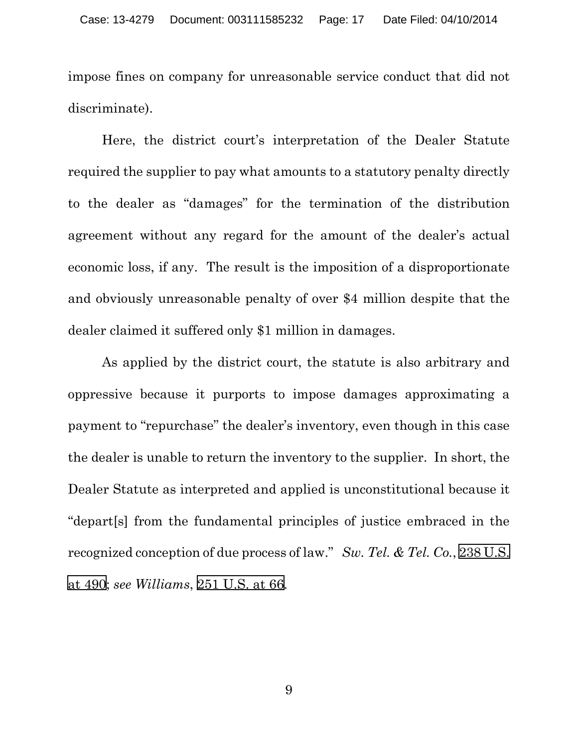impose fines on company for unreasonable service conduct that did not discriminate).

Here, the district court's interpretation of the Dealer Statute required the supplier to pay what amounts to a statutory penalty directly to the dealer as "damages" for the termination of the distribution agreement without any regard for the amount of the dealer's actual economic loss, if any. The result is the imposition of a disproportionate and obviously unreasonable penalty of over \$4 million despite that the dealer claimed it suffered only \$1 million in damages.

<span id="page-16-1"></span><span id="page-16-0"></span>As applied by the district court, the statute is also arbitrary and oppressive because it purports to impose damages approximating a payment to "repurchase" the dealer's inventory, even though in this case the dealer is unable to return the inventory to the supplier. In short, the Dealer Statute as interpreted and applied is unconstitutional because it "depart[s] from the fundamental principles of justice embraced in the recognized conception of due process of law." *Sw. Tel. & Tel. Co.*, [238 U.S.](https://web2.westlaw.com/find/default.wl?cite=238+u.s.+482&referenceposition=490&referencepositiontype=s&rs=WLW12.07&vr=2.0&rp=%2ffind%2fdefault.wl&sv=Split&fn=_top&mt=Westlaw&clientid=USCA3) [at 490;](https://web2.westlaw.com/find/default.wl?cite=238+u.s.+482&referenceposition=490&referencepositiontype=s&rs=WLW12.07&vr=2.0&rp=%2ffind%2fdefault.wl&sv=Split&fn=_top&mt=Westlaw&clientid=USCA3) *see Williams*, [251 U.S. at 66.](https://web2.westlaw.com/find/default.wl?cite=251+u.s.+63&referenceposition=66&referencepositiontype=s&rs=WLW12.07&vr=2.0&rp=%2ffind%2fdefault.wl&sv=Split&fn=_top&mt=Westlaw&clientid=USCA3)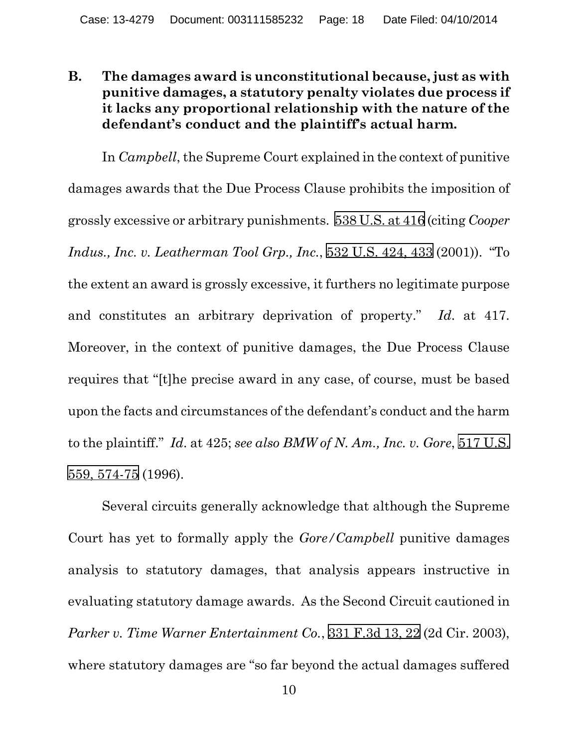## **B. The damages award is unconstitutional because, just as with punitive damages, a statutory penalty violates due process if it lacks any proportional relationship with the nature of the defendant's conduct and the plaintiff's actual harm.**

<span id="page-17-1"></span>In *Campbell*, the Supreme Court explained in the context of punitive damages awards that the Due Process Clause prohibits the imposition of grossly excessive or arbitrary punishments. [538 U.S. at 416](https://web2.westlaw.com/find/default.wl?cite=538+u.s.+408&referenceposition=416&referencepositiontype=s&rs=WLW12.07&vr=2.0&rp=%2ffind%2fdefault.wl&sv=Split&fn=_top&mt=Westlaw&clientid=USCA3) (citing *Cooper Indus., Inc. v. Leatherman Tool Grp., Inc.*, [532 U.S. 424, 433](https://web2.westlaw.com/find/default.wl?cite=532+u.s.+424&referenceposition=433&referencepositiontype=s&rs=WLW12.07&vr=2.0&rp=%2ffind%2fdefault.wl&sv=Split&fn=_top&mt=Westlaw&clientid=USCA3) (2001)). "To the extent an award is grossly excessive, it furthers no legitimate purpose and constitutes an arbitrary deprivation of property." *Id*. at 417. Moreover, in the context of punitive damages, the Due Process Clause requires that "[t]he precise award in any case, of course, must be based upon the facts and circumstances of the defendant's conduct and the harm to the plaintiff." *Id*. at 425; *see also BMW of N. Am., Inc. v. Gore*, [517 U.S.](https://web2.westlaw.com/find/default.wl?cite=517+u.s.++559&referenceposition=574&referencepositiontype=s&rs=WLW12.07&vr=2.0&rp=%2ffind%2fdefault.wl&sv=Split&fn=_top&mt=Westlaw&clientid=USCA3)  [559, 574-75](https://web2.westlaw.com/find/default.wl?cite=517+u.s.++559&referenceposition=574&referencepositiontype=s&rs=WLW12.07&vr=2.0&rp=%2ffind%2fdefault.wl&sv=Split&fn=_top&mt=Westlaw&clientid=USCA3) (1996).

<span id="page-17-2"></span><span id="page-17-0"></span>Several circuits generally acknowledge that although the Supreme Court has yet to formally apply the *Gore/Campbell* punitive damages analysis to statutory damages, that analysis appears instructive in evaluating statutory damage awards. As the Second Circuit cautioned in *Parker v. Time Warner Entertainment Co.*, [331 F.3d 13, 22](https://web2.westlaw.com/find/default.wl?cite=331+f.3d+13&referenceposition=22&referencepositiontype=s&rs=WLW12.07&vr=2.0&rp=%2ffind%2fdefault.wl&sv=Split&fn=_top&mt=Westlaw&clientid=USCA3) (2d Cir. 2003), where statutory damages are "so far beyond the actual damages suffered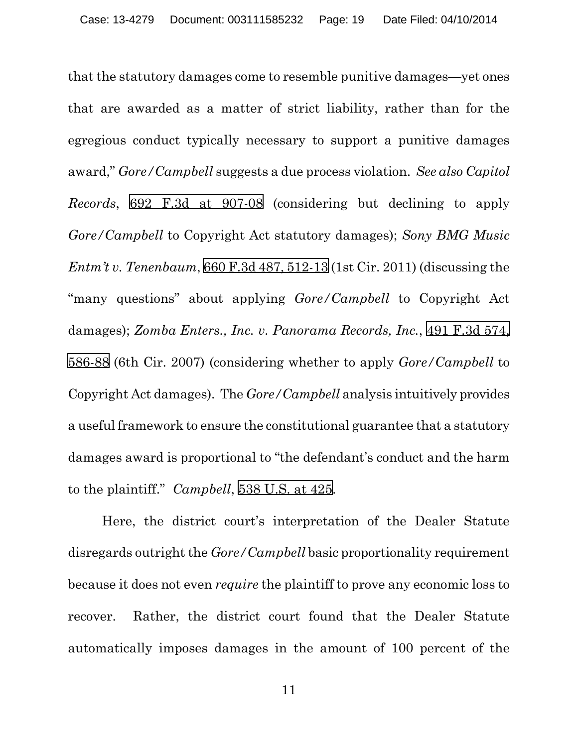<span id="page-18-1"></span><span id="page-18-0"></span>that the statutory damages come to resemble punitive damages—yet ones that are awarded as a matter of strict liability, rather than for the egregious conduct typically necessary to support a punitive damages award," *Gore/Campbell* suggests a due process violation. *See also Capitol Records*, [692 F.3d at 907-08](https://web2.westlaw.com/find/default.wl?cite=692+f.3d+899&referenceposition=907&referencepositiontype=s&rs=WLW12.07&vr=2.0&rp=%2ffind%2fdefault.wl&sv=Split&fn=_top&mt=Westlaw&clientid=USCA3) (considering but declining to apply *Gore/Campbell* to Copyright Act statutory damages); *Sony BMG Music Entm't v. Tenenbaum*, [660 F.3d 487, 512-13](https://web2.westlaw.com/find/default.wl?cite=660+f.3d+487&referenceposition=512&referencepositiontype=s&rs=WLW12.07&vr=2.0&rp=%2ffind%2fdefault.wl&sv=Split&fn=_top&mt=Westlaw&clientid=USCA3) (1st Cir. 2011) (discussing the "many questions" about applying *Gore/Campbell* to Copyright Act damages); *Zomba Enters., Inc. v. Panorama Records, Inc.*, [491 F.3d 574,](https://web2.westlaw.com/find/default.wl?cite=491+f.3d+574&referenceposition=586&referencepositiontype=s&rs=WLW12.07&vr=2.0&rp=%2ffind%2fdefault.wl&sv=Split&fn=_top&mt=Westlaw&clientid=USCA3) [586-88](https://web2.westlaw.com/find/default.wl?cite=491+f.3d+574&referenceposition=586&referencepositiontype=s&rs=WLW12.07&vr=2.0&rp=%2ffind%2fdefault.wl&sv=Split&fn=_top&mt=Westlaw&clientid=USCA3) (6th Cir. 2007) (considering whether to apply *Gore/Campbell* to Copyright Act damages). The *Gore/Campbell* analysis intuitively provides a useful framework to ensure the constitutional guarantee that a statutory damages award is proportional to "the defendant's conduct and the harm to the plaintiff." *Campbell*, [538 U.S. at 425](https://web2.westlaw.com/find/default.wl?cite=538+u.s.+408&referenceposition=425&referencepositiontype=s&rs=WLW12.07&vr=2.0&rp=%2ffind%2fdefault.wl&sv=Split&fn=_top&mt=Westlaw&clientid=USCA3).

<span id="page-18-2"></span>Here, the district court's interpretation of the Dealer Statute disregards outright the *Gore/Campbell* basic proportionality requirement because it does not even *require* the plaintiff to prove any economic loss to recover. Rather, the district court found that the Dealer Statute automatically imposes damages in the amount of 100 percent of the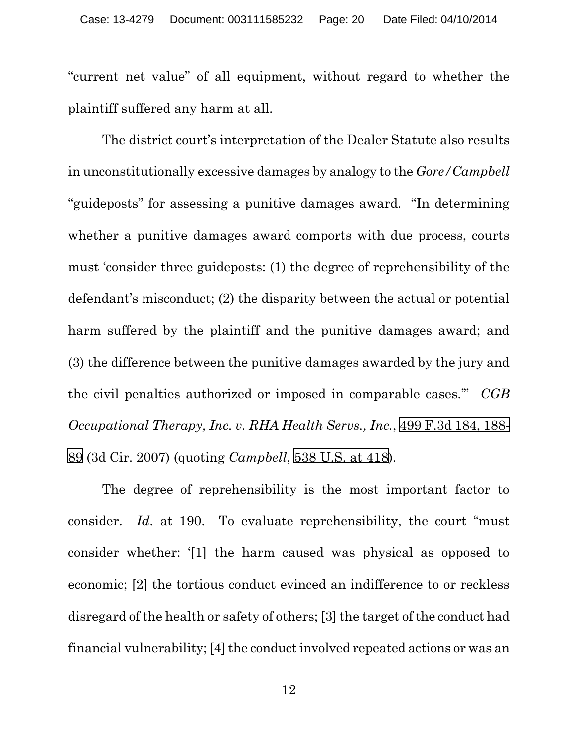"current net value" of all equipment, without regard to whether the plaintiff suffered any harm at all.

The district court's interpretation of the Dealer Statute also results in unconstitutionally excessive damages by analogy to the *Gore/Campbell* "guideposts" for assessing a punitive damages award. "In determining whether a punitive damages award comports with due process, courts must 'consider three guideposts: (1) the degree of reprehensibility of the defendant's misconduct; (2) the disparity between the actual or potential harm suffered by the plaintiff and the punitive damages award; and (3) the difference between the punitive damages awarded by the jury and the civil penalties authorized or imposed in comparable cases.'" *CGB Occupational Therapy, Inc. v. RHA Health Servs., Inc.*, [499 F.3d 184, 188-](https://web2.westlaw.com/find/default.wl?cite=499+f.3d+184&referenceposition=188&referencepositiontype=s&rs=WLW12.07&vr=2.0&rp=%2ffind%2fdefault.wl&sv=Split&fn=_top&mt=Westlaw&clientid=USCA3) [89](https://web2.westlaw.com/find/default.wl?cite=499+f.3d+184&referenceposition=188&referencepositiontype=s&rs=WLW12.07&vr=2.0&rp=%2ffind%2fdefault.wl&sv=Split&fn=_top&mt=Westlaw&clientid=USCA3) (3d Cir. 2007) (quoting *Campbell*, [538 U.S. at 418](https://web2.westlaw.com/find/default.wl?cite=538+u.s.+408&referenceposition=418&referencepositiontype=s&rs=WLW12.07&vr=2.0&rp=%2ffind%2fdefault.wl&sv=Split&fn=_top&mt=Westlaw&clientid=USCA3)).

<span id="page-19-0"></span>The degree of reprehensibility is the most important factor to consider. *Id*. at 190. To evaluate reprehensibility, the court "must consider whether: '[1] the harm caused was physical as opposed to economic; [2] the tortious conduct evinced an indifference to or reckless disregard of the health or safety of others; [3] the target of the conduct had financial vulnerability; [4] the conduct involved repeated actions or was an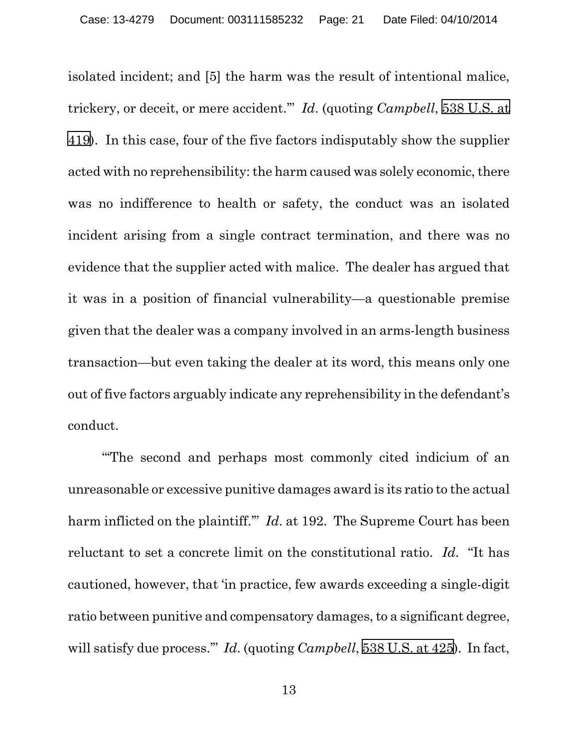<span id="page-20-0"></span>isolated incident; and [5] the harm was the result of intentional malice, trickery, or deceit, or mere accident.'" *Id*. (quoting *Campbell*, [538 U.S. at](https://web2.westlaw.com/find/default.wl?cite=538+u.s.+408&referenceposition=419&referencepositiontype=s&rs=WLW12.07&vr=2.0&rp=%2ffind%2fdefault.wl&sv=Split&fn=_top&mt=Westlaw&clientid=USCA3)  [419](https://web2.westlaw.com/find/default.wl?cite=538+u.s.+408&referenceposition=419&referencepositiontype=s&rs=WLW12.07&vr=2.0&rp=%2ffind%2fdefault.wl&sv=Split&fn=_top&mt=Westlaw&clientid=USCA3)). In this case, four of the five factors indisputably show the supplier acted with no reprehensibility: the harm caused was solely economic, there was no indifference to health or safety, the conduct was an isolated incident arising from a single contract termination, and there was no evidence that the supplier acted with malice. The dealer has argued that it was in a position of financial vulnerability—a questionable premise given that the dealer was a company involved in an arms-length business transaction—but even taking the dealer at its word, this means only one out of five factors arguably indicate any reprehensibility in the defendant's conduct.

"'The second and perhaps most commonly cited indicium of an unreasonable or excessive punitive damages award is its ratio to the actual harm inflicted on the plaintiff.'" *Id*. at 192. The Supreme Court has been reluctant to set a concrete limit on the constitutional ratio. *Id*. "It has cautioned, however, that 'in practice, few awards exceeding a single-digit ratio between punitive and compensatory damages, to a significant degree, will satisfy due process.'" *Id*. (quoting *Campbell*, [538 U.S. at 425\)](https://web2.westlaw.com/find/default.wl?cite=538+u.s.+408&referenceposition=425&referencepositiontype=s&rs=WLW12.07&vr=2.0&rp=%2ffind%2fdefault.wl&sv=Split&fn=_top&mt=Westlaw&clientid=USCA3). In fact,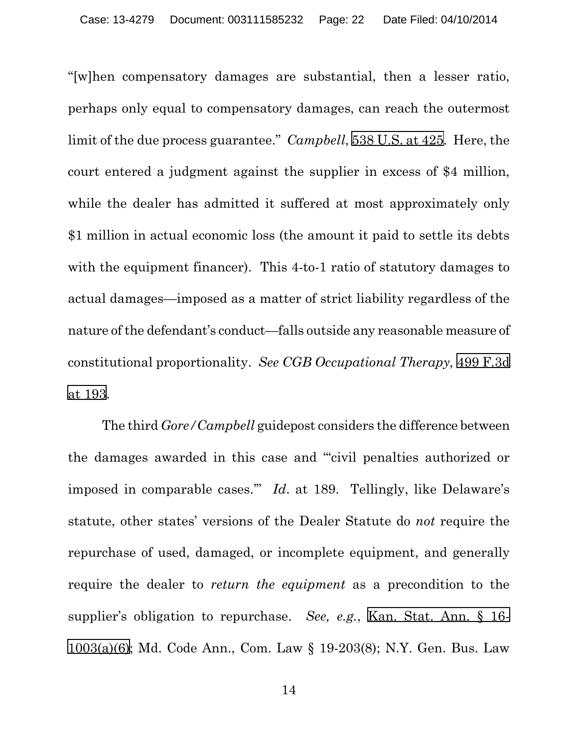"[w]hen compensatory damages are substantial, then a lesser ratio, perhaps only equal to compensatory damages, can reach the outermost limit of the due process guarantee." *Campbell*, [538 U.S. at 425](https://web2.westlaw.com/find/default.wl?cite=538+u.s.+408&referenceposition=425&referencepositiontype=s&rs=WLW12.07&vr=2.0&rp=%2ffind%2fdefault.wl&sv=Split&fn=_top&mt=Westlaw&clientid=USCA3). Here, the court entered a judgment against the supplier in excess of \$4 million, while the dealer has admitted it suffered at most approximately only \$1 million in actual economic loss (the amount it paid to settle its debts with the equipment financer). This 4-to-1 ratio of statutory damages to actual damages—imposed as a matter of strict liability regardless of the nature of the defendant's conduct—falls outside any reasonable measure of constitutional proportionality. *See CGB Occupational Therapy,* [499 F.3d](https://web2.westlaw.com/find/default.wl?cite=499+f.3d+184&referenceposition=193&referencepositiontype=s&rs=WLW12.07&vr=2.0&rp=%2ffind%2fdefault.wl&sv=Split&fn=_top&mt=Westlaw&clientid=USCA3)  [at 193.](https://web2.westlaw.com/find/default.wl?cite=499+f.3d+184&referenceposition=193&referencepositiontype=s&rs=WLW12.07&vr=2.0&rp=%2ffind%2fdefault.wl&sv=Split&fn=_top&mt=Westlaw&clientid=USCA3)

<span id="page-21-3"></span><span id="page-21-2"></span><span id="page-21-1"></span><span id="page-21-0"></span>The third *Gore/Campbell* guidepost considers the difference between the damages awarded in this case and "'civil penalties authorized or imposed in comparable cases.'" *Id*. at 189. Tellingly, like Delaware's statute, other states' versions of the Dealer Statute do *not* require the repurchase of used, damaged, or incomplete equipment, and generally require the dealer to *return the equipment* as a precondition to the supplier's obligation to repurchase. *See, e.g.*, [Kan. Stat. Ann. § 16-](https://web2.westlaw.com/find/default.wl?cite=null&rs=WLW12.07&vr=2.0&rp=%2ffind%2fdefault.wl&sv=Split&fn=_top&mt=Westlaw&clientid=USCA3) [1003\(a\)\(6\);](https://web2.westlaw.com/find/default.wl?cite=null&rs=WLW12.07&vr=2.0&rp=%2ffind%2fdefault.wl&sv=Split&fn=_top&mt=Westlaw&clientid=USCA3) Md. Code Ann., Com. Law § 19-203(8); N.Y. Gen. Bus. Law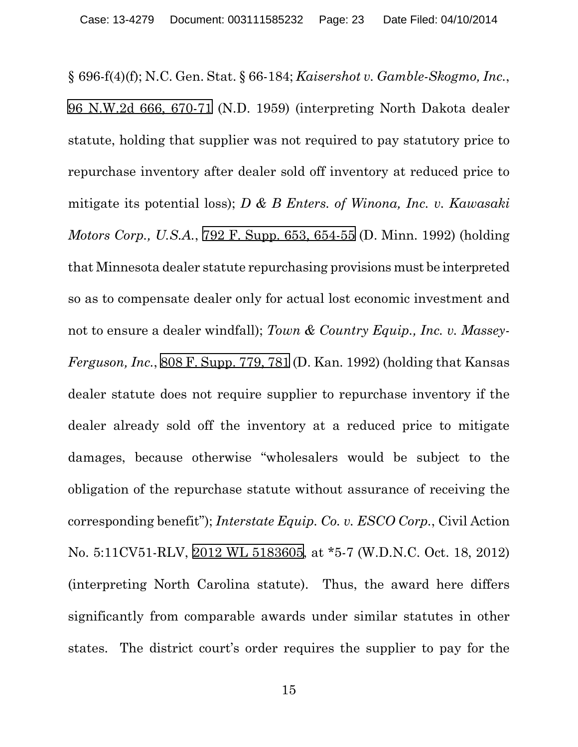<span id="page-22-4"></span><span id="page-22-3"></span><span id="page-22-2"></span><span id="page-22-1"></span><span id="page-22-0"></span>§ 696-f(4)(f); N.C. Gen. Stat. § 66-184; *Kaisershot v. Gamble-Skogmo, Inc.*, 96 N.W.2d [666, 670-71](https://web2.westlaw.com/find/default.wl?cite=96+n.w.2d+666&referenceposition=670&referencepositiontype=s&rs=WLW12.07&vr=2.0&rp=%2ffind%2fdefault.wl&sv=Split&fn=_top&mt=Westlaw&clientid=USCA3) (N.D. 1959) (interpreting North Dakota dealer statute, holding that supplier was not required to pay statutory price to repurchase inventory after dealer sold off inventory at reduced price to mitigate its potential loss); *D & B Enters. of Winona, Inc. v. Kawasaki Motors Corp., U.S.A.*, [792 F. Supp. 653, 654-55](https://web2.westlaw.com/find/default.wl?cite=792+f.+supp.+653&referenceposition=654&referencepositiontype=s&rs=WLW12.07&vr=2.0&rp=%2ffind%2fdefault.wl&sv=Split&fn=_top&mt=Westlaw&clientid=USCA3) (D. Minn. 1992) (holding that Minnesota dealer statute repurchasing provisions must be interpreted so as to compensate dealer only for actual lost economic investment and not to ensure a dealer windfall); *Town & Country Equip., Inc. v. Massey-Ferguson, Inc.*, [808 F. Supp. 779, 781](https://web2.westlaw.com/find/default.wl?cite=808+f.+supp.+779&referenceposition=781&referencepositiontype=s&rs=WLW12.07&vr=2.0&rp=%2ffind%2fdefault.wl&sv=Split&fn=_top&mt=Westlaw&clientid=USCA3) (D. Kan. 1992) (holding that Kansas dealer statute does not require supplier to repurchase inventory if the dealer already sold off the inventory at a reduced price to mitigate damages, because otherwise "wholesalers would be subject to the obligation of the repurchase statute without assurance of receiving the corresponding benefit"); *Interstate Equip. Co. v. ESCO Corp.*, Civil Action No. 5:11CV51-RLV, [2012 WL 5183605,](https://web2.westlaw.com/find/default.wl?cite=2012+wl+5183605&referenceposition=5183605&referencepositiontype=s&rs=WLW12.07&vr=2.0&rp=%2ffind%2fdefault.wl&sv=Split&fn=_top&mt=Westlaw&clientid=USCA3) at \*5-7 (W.D.N.C. Oct. 18, 2012) (interpreting North Carolina statute). Thus, the award here differs significantly from comparable awards under similar statutes in other states. The district court's order requires the supplier to pay for the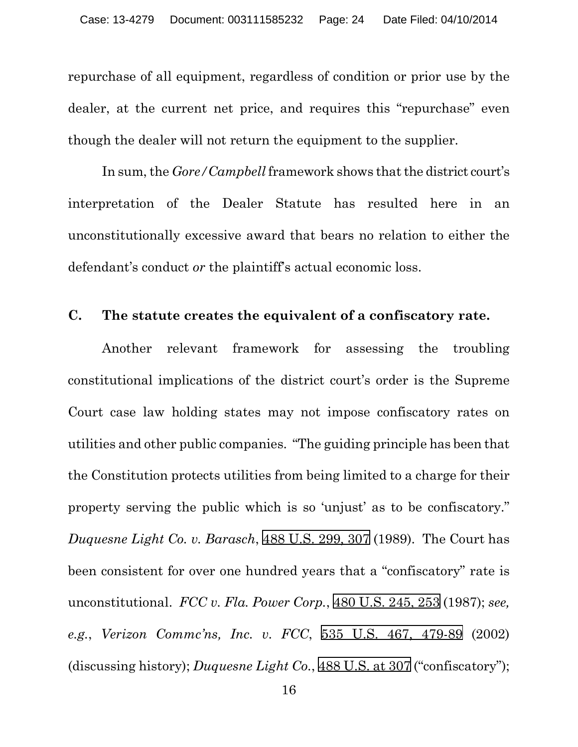repurchase of all equipment, regardless of condition or prior use by the dealer, at the current net price, and requires this "repurchase" even though the dealer will not return the equipment to the supplier.

In sum, the *Gore/Campbell* framework shows that the district court's interpretation of the Dealer Statute has resulted here in an unconstitutionally excessive award that bears no relation to either the defendant's conduct *or* the plaintiff's actual economic loss.

#### **C. The statute creates the equivalent of a confiscatory rate.**

<span id="page-23-2"></span><span id="page-23-1"></span><span id="page-23-0"></span>Another relevant framework for assessing the troubling constitutional implications of the district court's order is the Supreme Court case law holding states may not impose confiscatory rates on utilities and other public companies. "The guiding principle has been that the Constitution protects utilities from being limited to a charge for their property serving the public which is so 'unjust' as to be confiscatory." *Duquesne Light Co. v. Barasch*, [488 U.S. 299, 307](https://web2.westlaw.com/find/default.wl?cite=488+u.s.+299&referenceposition=307&referencepositiontype=s&rs=WLW12.07&vr=2.0&rp=%2ffind%2fdefault.wl&sv=Split&fn=_top&mt=Westlaw&clientid=USCA3) (1989). The Court has been consistent for over one hundred years that a "confiscatory" rate is unconstitutional. *FCC v. Fla. Power Corp.*, [480 U.S. 245, 253](https://web2.westlaw.com/find/default.wl?cite=480+u.s.+245&referenceposition=253&referencepositiontype=s&rs=WLW12.07&vr=2.0&rp=%2ffind%2fdefault.wl&sv=Split&fn=_top&mt=Westlaw&clientid=USCA3) (1987); *see, e.g.*, *Verizon Commc'ns, Inc. v. FCC*, [535 U.S. 467, 479-89](https://web2.westlaw.com/find/default.wl?cite=535++u.s.++467&referenceposition=479&referencepositiontype=s&rs=WLW12.07&vr=2.0&rp=%2ffind%2fdefault.wl&sv=Split&fn=_top&mt=Westlaw&clientid=USCA3) (2002) (discussing history); *Duquesne Light Co.*, [488 U.S. at 307](https://web2.westlaw.com/find/default.wl?cite=488+u.s.+299&referenceposition=307&referencepositiontype=s&rs=WLW12.07&vr=2.0&rp=%2ffind%2fdefault.wl&sv=Split&fn=_top&mt=Westlaw&clientid=USCA3) ("confiscatory");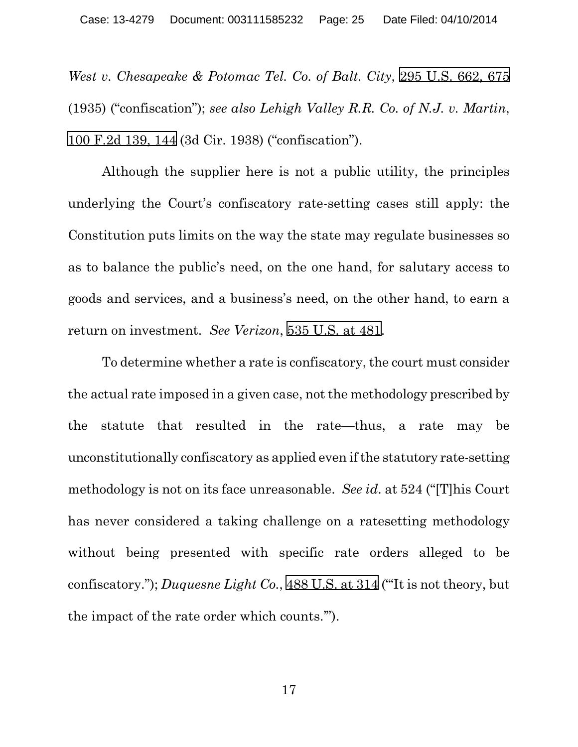<span id="page-24-3"></span><span id="page-24-1"></span>*West v. Chesapeake & Potomac Tel. Co. of Balt. City*, [295 U.S. 662, 675](https://web2.westlaw.com/find/default.wl?cite=295+u.s.+662&referenceposition=675&referencepositiontype=s&rs=WLW12.07&vr=2.0&rp=%2ffind%2fdefault.wl&sv=Split&fn=_top&mt=Westlaw&clientid=USCA3)  (1935) ("confiscation"); *see also Lehigh Valley R.R. Co. of N.J. v. Martin*, [100 F.2d 139, 144](https://web2.westlaw.com/find/default.wl?cite=100+f.2d+139&referenceposition=144&referencepositiontype=s&rs=WLW12.07&vr=2.0&rp=%2ffind%2fdefault.wl&sv=Split&fn=_top&mt=Westlaw&clientid=USCA3) (3d Cir. 1938) ("confiscation").

Although the supplier here is not a public utility, the principles underlying the Court's confiscatory rate-setting cases still apply: the Constitution puts limits on the way the state may regulate businesses so as to balance the public's need, on the one hand, for salutary access to goods and services, and a business's need, on the other hand, to earn a return on investment. *See Verizon*, [535 U.S. at 481.](https://web2.westlaw.com/find/default.wl?cite=535+u.s.+467&referenceposition=481&referencepositiontype=s&rs=WLW12.07&vr=2.0&rp=%2ffind%2fdefault.wl&sv=Split&fn=_top&mt=Westlaw&clientid=USCA3)

<span id="page-24-2"></span>To determine whether a rate is confiscatory, the court must consider the actual rate imposed in a given case, not the methodology prescribed by the statute that resulted in the rate—thus, a rate may be unconstitutionally confiscatory as applied even if the statutory rate-setting methodology is not on its face unreasonable. *See id*. at 524 ("[T]his Court has never considered a taking challenge on a ratesetting methodology without being presented with specific rate orders alleged to be confiscatory."); *Duquesne Light Co.*, [488 U.S. at 314](https://web2.westlaw.com/find/default.wl?cite=488+u.s.+299&referenceposition=314&referencepositiontype=s&rs=WLW12.07&vr=2.0&rp=%2ffind%2fdefault.wl&sv=Split&fn=_top&mt=Westlaw&clientid=USCA3) ("'It is not theory, but the impact of the rate order which counts.'").

<span id="page-24-0"></span>17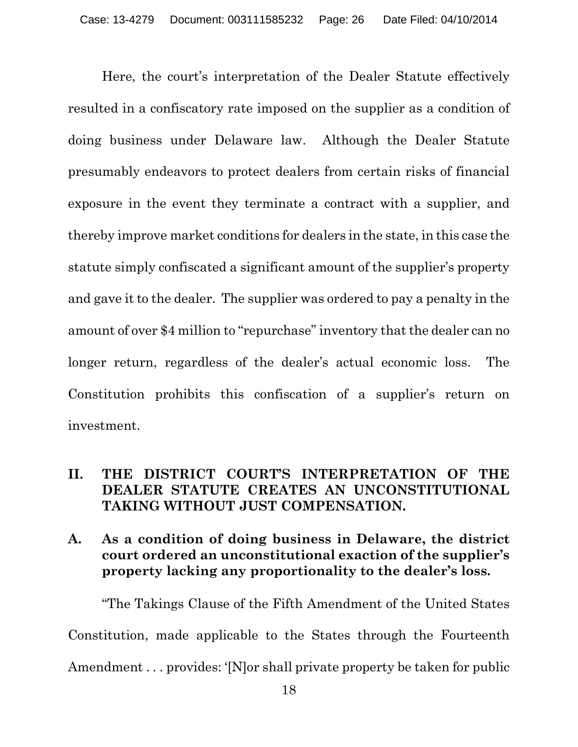Here, the court's interpretation of the Dealer Statute effectively resulted in a confiscatory rate imposed on the supplier as a condition of doing business under Delaware law. Although the Dealer Statute presumably endeavors to protect dealers from certain risks of financial exposure in the event they terminate a contract with a supplier, and thereby improve market conditions for dealers in the state, in this case the statute simply confiscated a significant amount of the supplier's property and gave it to the dealer. The supplier was ordered to pay a penalty in the amount of over \$4 million to "repurchase" inventory that the dealer can no longer return, regardless of the dealer's actual economic loss. The Constitution prohibits this confiscation of a supplier's return on investment.

#### **II. THE DISTRICT COURT'S INTERPRETATION OF THE DEALER STATUTE CREATES AN UNCONSTITUTIONAL TAKING WITHOUT JUST COMPENSATION.**

**A. As a condition of doing business in Delaware, the district court ordered an unconstitutional exaction of the supplier's property lacking any proportionality to the dealer's loss.**

"The Takings Clause of the Fifth Amendment of the United States Constitution, made applicable to the States through the Fourteenth Amendment . . . provides: '[N]or shall private property be taken for public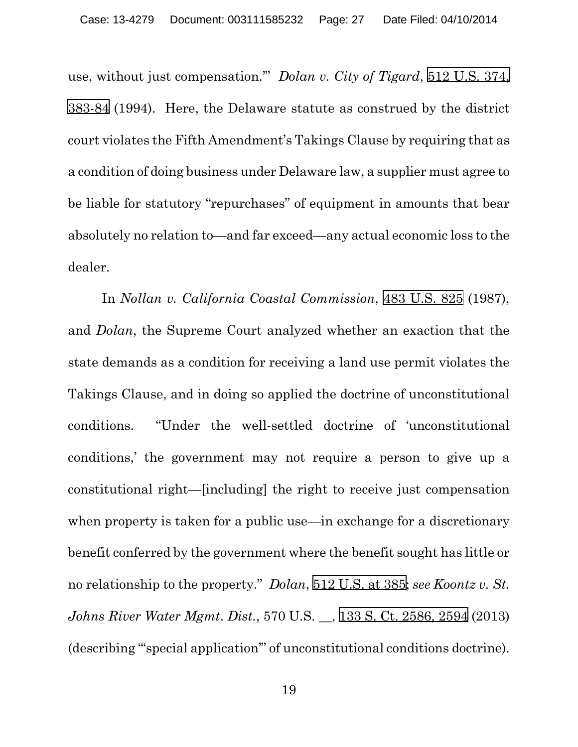<span id="page-26-0"></span>use, without just compensation.'" *Dolan v. City of Tigard*, [512 U.S. 374,](https://web2.westlaw.com/find/default.wl?cite=512+u.s.+374&referenceposition=383&referencepositiontype=s&rs=WLW12.07&vr=2.0&rp=%2ffind%2fdefault.wl&sv=Split&fn=_top&mt=Westlaw&clientid=USCA3)  [383-84](https://web2.westlaw.com/find/default.wl?cite=512+u.s.+374&referenceposition=383&referencepositiontype=s&rs=WLW12.07&vr=2.0&rp=%2ffind%2fdefault.wl&sv=Split&fn=_top&mt=Westlaw&clientid=USCA3) (1994). Here, the Delaware statute as construed by the district court violates the Fifth Amendment's Takings Clause by requiring that as a condition of doing business under Delaware law, a supplier must agree to be liable for statutory "repurchases" of equipment in amounts that bear absolutely no relation to—and far exceed—any actual economic loss to the dealer.

<span id="page-26-2"></span><span id="page-26-1"></span>In *Nollan v. California Coastal Commission*, [483 U.S. 825](https://web2.westlaw.com/find/default.wl?cite=483+u.s.+825&referenceposition=825&referencepositiontype=s&rs=WLW12.07&vr=2.0&rp=%2ffind%2fdefault.wl&sv=Split&fn=_top&mt=Westlaw&clientid=USCA3) (1987), and *Dolan*, the Supreme Court analyzed whether an exaction that the state demands as a condition for receiving a land use permit violates the Takings Clause, and in doing so applied the doctrine of unconstitutional conditions. "Under the well-settled doctrine of 'unconstitutional conditions,' the government may not require a person to give up a constitutional right—[including] the right to receive just compensation when property is taken for a public use—in exchange for a discretionary benefit conferred by the government where the benefit sought has little or no relationship to the property." *Dolan*, [512 U.S. at 385;](https://web2.westlaw.com/find/default.wl?cite=512+u.s.+374&referenceposition=385&referencepositiontype=s&rs=WLW12.07&vr=2.0&rp=%2ffind%2fdefault.wl&sv=Split&fn=_top&mt=Westlaw&clientid=USCA3) *see Koontz v. St. Johns River Water Mgmt*. *Dist.*, 570 U.S. \_\_, [133 S. Ct. 2586, 2594](https://web2.westlaw.com/find/default.wl?cite=133+s.+ct.+2586&referenceposition=2594&referencepositiontype=s&rs=WLW12.07&vr=2.0&rp=%2ffind%2fdefault.wl&sv=Split&fn=_top&mt=Westlaw&clientid=USCA3) (2013) (describing "'special application'" of unconstitutional conditions doctrine).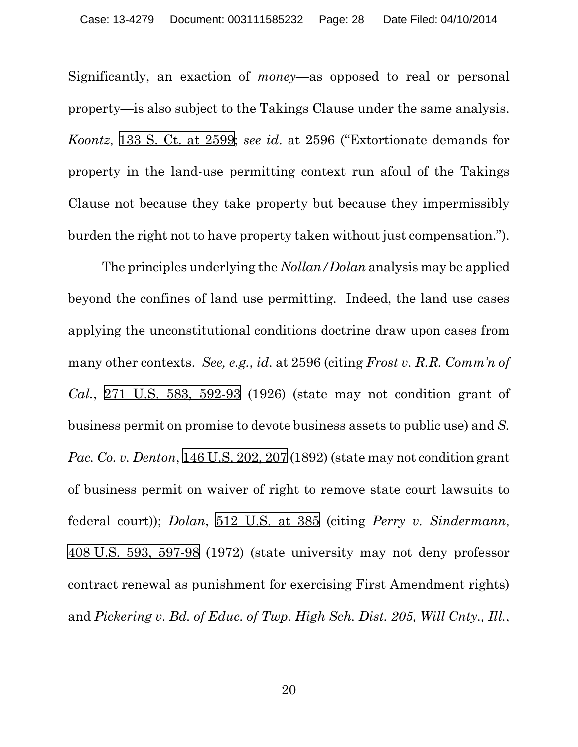<span id="page-27-2"></span>Significantly, an exaction of *money*—as opposed to real or personal property—is also subject to the Takings Clause under the same analysis. *Koontz*, [133 S. Ct. at 2599](https://web2.westlaw.com/find/default.wl?cite=133+s.+ct.+2586&referenceposition=2599&referencepositiontype=s&rs=WLW12.07&vr=2.0&rp=%2ffind%2fdefault.wl&sv=Split&fn=_top&mt=Westlaw&clientid=USCA3); *see id*. at 2596 ("Extortionate demands for property in the land-use permitting context run afoul of the Takings Clause not because they take property but because they impermissibly burden the right not to have property taken without just compensation.").

<span id="page-27-5"></span><span id="page-27-4"></span><span id="page-27-3"></span><span id="page-27-1"></span><span id="page-27-0"></span>The principles underlying the *Nollan/Dolan* analysis may be applied beyond the confines of land use permitting. Indeed, the land use cases applying the unconstitutional conditions doctrine draw upon cases from many other contexts. *See, e.g.*, *id*. at 2596 (citing *Frost v. R.R. Comm'n of Cal.*, [271 U.S. 583, 592-93](https://web2.westlaw.com/find/default.wl?cite=271+u.s.+583&referenceposition=592&referencepositiontype=s&rs=WLW12.07&vr=2.0&rp=%2ffind%2fdefault.wl&sv=Split&fn=_top&mt=Westlaw&clientid=USCA3) (1926) (state may not condition grant of business permit on promise to devote business assets to public use) and *S. Pac. Co. v. Denton*, 146 [U.S. 202, 207](https://web2.westlaw.com/find/default.wl?cite=146+u.s.+202&referenceposition=207&referencepositiontype=s&rs=WLW12.07&vr=2.0&rp=%2ffind%2fdefault.wl&sv=Split&fn=_top&mt=Westlaw&clientid=USCA3) (1892) (state may not condition grant of business permit on waiver of right to remove state court lawsuits to federal court)); *Dolan*, [512 U.S. at 385](https://web2.westlaw.com/find/default.wl?cite=512+u.s.+374&referenceposition=385&referencepositiontype=s&rs=WLW12.07&vr=2.0&rp=%2ffind%2fdefault.wl&sv=Split&fn=_top&mt=Westlaw&clientid=USCA3) (citing *Perry v. Sindermann*, 408 [U.S. 593, 597-98](https://web2.westlaw.com/find/default.wl?cite=408+u.s.+593&referenceposition=597&referencepositiontype=s&rs=WLW12.07&vr=2.0&rp=%2ffind%2fdefault.wl&sv=Split&fn=_top&mt=Westlaw&clientid=USCA3) (1972) (state university may not deny professor contract renewal as punishment for exercising First Amendment rights) and *Pickering v. Bd. of Educ. of Twp. High Sch. Dist. 205, Will Cnty., Ill.*,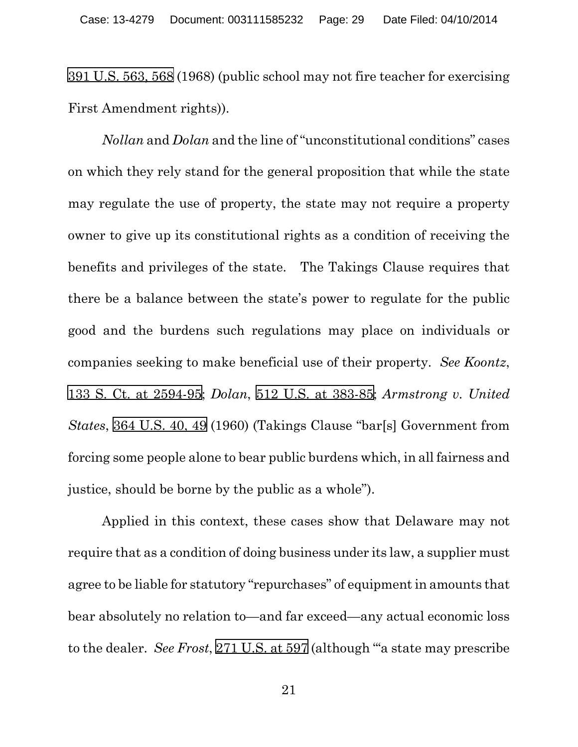[391 U.S. 563, 568](https://web2.westlaw.com/find/default.wl?cite=391+u.s.+563&referenceposition=568&referencepositiontype=s&rs=WLW12.07&vr=2.0&rp=%2ffind%2fdefault.wl&sv=Split&fn=_top&mt=Westlaw&clientid=USCA3) (1968) (public school may not fire teacher for exercising First Amendment rights)).

<span id="page-28-4"></span><span id="page-28-1"></span>*Nollan* and *Dolan* and the line of "unconstitutional conditions" cases on which they rely stand for the general proposition that while the state may regulate the use of property, the state may not require a property owner to give up its constitutional rights as a condition of receiving the benefits and privileges of the state. The Takings Clause requires that there be a balance between the state's power to regulate for the public good and the burdens such regulations may place on individuals or companies seeking to make beneficial use of their property. *See Koontz*, 133 S. Ct. [at 2594-95;](https://web2.westlaw.com/find/default.wl?cite=133+s.+ct.+2586&referenceposition=2594&referencepositiontype=s&rs=WLW12.07&vr=2.0&rp=%2ffind%2fdefault.wl&sv=Split&fn=_top&mt=Westlaw&clientid=USCA3) *Dolan*, [512 U.S. at 383-85;](https://web2.westlaw.com/find/default.wl?cite=512+u.s.+374&referenceposition=383&referencepositiontype=s&rs=WLW12.07&vr=2.0&rp=%2ffind%2fdefault.wl&sv=Split&fn=_top&mt=Westlaw&clientid=USCA3) *Armstrong v. United States*, [364 U.S. 40, 49](https://web2.westlaw.com/find/default.wl?cite=364+u.s.+40&referenceposition=49&referencepositiontype=s&rs=WLW12.07&vr=2.0&rp=%2ffind%2fdefault.wl&sv=Split&fn=_top&mt=Westlaw&clientid=USCA3) (1960) (Takings Clause "bar[s] Government from forcing some people alone to bear public burdens which, in all fairness and justice, should be borne by the public as a whole").

<span id="page-28-3"></span><span id="page-28-2"></span><span id="page-28-0"></span>Applied in this context, these cases show that Delaware may not require that as a condition of doing business under its law, a supplier must agree to be liable for statutory "repurchases" of equipment in amounts that bear absolutely no relation to—and far exceed—any actual economic loss to the dealer. *See Frost*, [271 U.S. at 597](https://web2.westlaw.com/find/default.wl?cite=271+u.s.+583&referenceposition=597&referencepositiontype=s&rs=WLW12.07&vr=2.0&rp=%2ffind%2fdefault.wl&sv=Split&fn=_top&mt=Westlaw&clientid=USCA3) (although "'a state may prescribe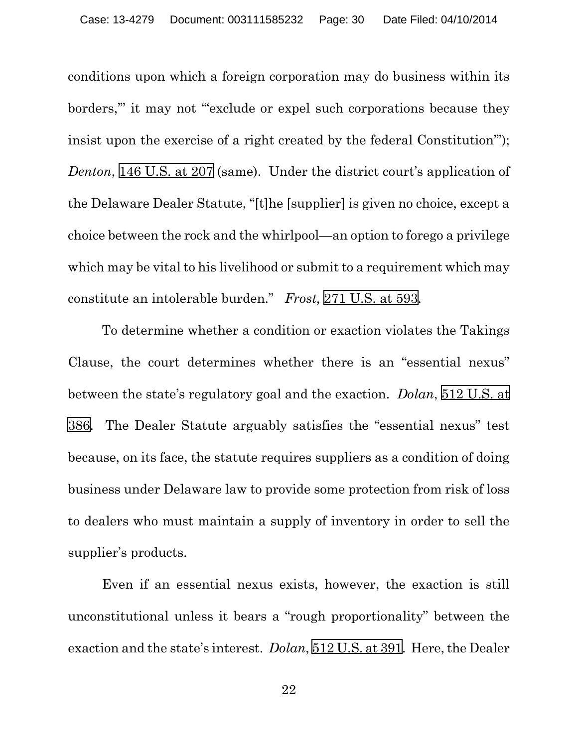<span id="page-29-2"></span>conditions upon which a foreign corporation may do business within its borders," it may not "exclude or expel such corporations because they insist upon the exercise of a right created by the federal Constitution'"); *Denton*, [146 U.S. at 207](https://web2.westlaw.com/find/default.wl?cite=146+u.s.+202&referenceposition=207&referencepositiontype=s&rs=WLW12.07&vr=2.0&rp=%2ffind%2fdefault.wl&sv=Split&fn=_top&mt=Westlaw&clientid=USCA3) (same). Under the district court's application of the Delaware Dealer Statute, "[t]he [supplier] is given no choice, except a choice between the rock and the whirlpool—an option to forego a privilege which may be vital to his livelihood or submit to a requirement which may constitute an intolerable burden." *Frost*, [271 U.S.](https://web2.westlaw.com/find/default.wl?cite=271+u.s.+583&referenceposition=593&referencepositiontype=s&rs=WLW12.07&vr=2.0&rp=%2ffind%2fdefault.wl&sv=Split&fn=_top&mt=Westlaw&clientid=USCA3) at 593.

<span id="page-29-1"></span><span id="page-29-0"></span>To determine whether a condition or exaction violates the Takings Clause, the court determines whether there is an "essential nexus" between the state's regulatory goal and the exaction. *Dolan*, [512 U.S. at](https://web2.westlaw.com/find/default.wl?cite=512+u.s.+374&referenceposition=386&referencepositiontype=s&rs=WLW12.07&vr=2.0&rp=%2ffind%2fdefault.wl&sv=Split&fn=_top&mt=Westlaw&clientid=USCA3)  [386](https://web2.westlaw.com/find/default.wl?cite=512+u.s.+374&referenceposition=386&referencepositiontype=s&rs=WLW12.07&vr=2.0&rp=%2ffind%2fdefault.wl&sv=Split&fn=_top&mt=Westlaw&clientid=USCA3). The Dealer Statute arguably satisfies the "essential nexus" test because, on its face, the statute requires suppliers as a condition of doing business under Delaware law to provide some protection from risk of loss to dealers who must maintain a supply of inventory in order to sell the supplier's products.

Even if an essential nexus exists, however, the exaction is still unconstitutional unless it bears a "rough proportionality" between the exaction and the state's interest. *Dolan*, [512 U.S. at 391](https://web2.westlaw.com/find/default.wl?cite=512+u.s.+374&referenceposition=391&referencepositiontype=s&rs=WLW12.07&vr=2.0&rp=%2ffind%2fdefault.wl&sv=Split&fn=_top&mt=Westlaw&clientid=USCA3). Here, the Dealer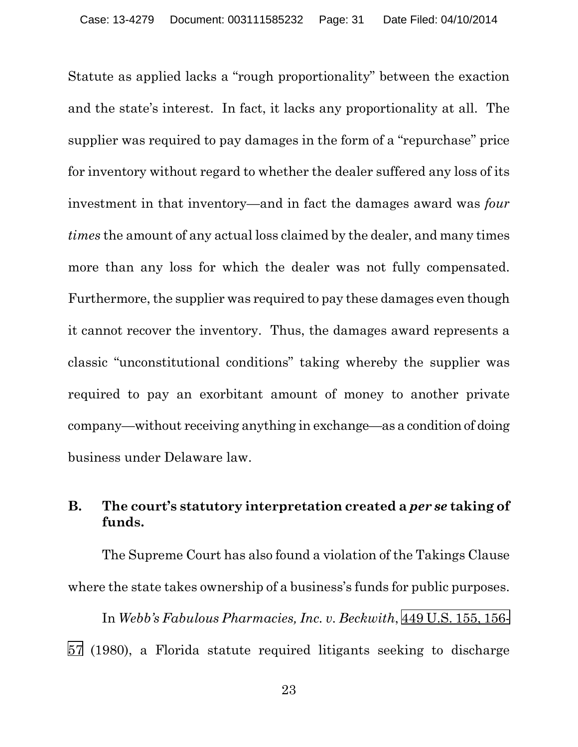Statute as applied lacks a "rough proportionality" between the exaction and the state's interest. In fact, it lacks any proportionality at all. The supplier was required to pay damages in the form of a "repurchase" price for inventory without regard to whether the dealer suffered any loss of its investment in that inventory—and in fact the damages award was *four times* the amount of any actual loss claimed by the dealer, and many times more than any loss for which the dealer was not fully compensated. Furthermore, the supplier was required to pay these damages even though it cannot recover the inventory. Thus, the damages award represents a classic "unconstitutional conditions" taking whereby the supplier was required to pay an exorbitant amount of money to another private company—without receiving anything in exchange—as a condition of doing business under Delaware law.

## **B. The court's statutory interpretation created a** *per se* **taking of funds.**

The Supreme Court has also found a violation of the Takings Clause where the state takes ownership of a business's funds for public purposes.

<span id="page-30-0"></span>In *Webb's Fabulous Pharmacies, Inc. v. Beckwith*, [449 U.S. 155, 156-](https://web2.westlaw.com/find/default.wl?cite=449+u.s.+155&referenceposition=156&referencepositiontype=s&rs=WLW12.07&vr=2.0&rp=%2ffind%2fdefault.wl&sv=Split&fn=_top&mt=Westlaw&clientid=USCA3) [57](https://web2.westlaw.com/find/default.wl?cite=449+u.s.+155&referenceposition=156&referencepositiontype=s&rs=WLW12.07&vr=2.0&rp=%2ffind%2fdefault.wl&sv=Split&fn=_top&mt=Westlaw&clientid=USCA3) (1980), a Florida statute required litigants seeking to discharge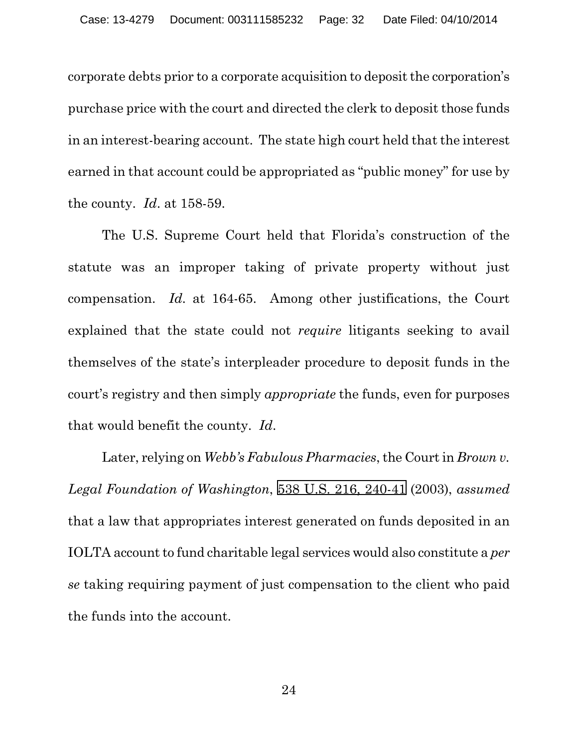corporate debts prior to a corporate acquisition to deposit the corporation's purchase price with the court and directed the clerk to deposit those funds in an interest-bearing account. The state high court held that the interest earned in that account could be appropriated as "public money" for use by the county. *Id*. at 158-59.

<span id="page-31-1"></span>The U.S. Supreme Court held that Florida's construction of the statute was an improper taking of private property without just compensation. *Id*. at 164-65. Among other justifications, the Court explained that the state could not *require* litigants seeking to avail themselves of the state's interpleader procedure to deposit funds in the court's registry and then simply *appropriate* the funds, even for purposes that would benefit the county. *Id*.

<span id="page-31-0"></span>Later, relying on *Webb's Fabulous Pharmacies*, the Court in *Brown v. Legal Foundation of Washington*, [538 U.S. 216, 240-41](https://web2.westlaw.com/find/default.wl?cite=538+u.s.+216&referenceposition=240&referencepositiontype=s&rs=WLW12.07&vr=2.0&rp=%2ffind%2fdefault.wl&sv=Split&fn=_top&mt=Westlaw&clientid=USCA3) (2003), *assumed* that a law that appropriates interest generated on funds deposited in an IOLTA account to fund charitable legal services would also constitute a *per se* taking requiring payment of just compensation to the client who paid the funds into the account.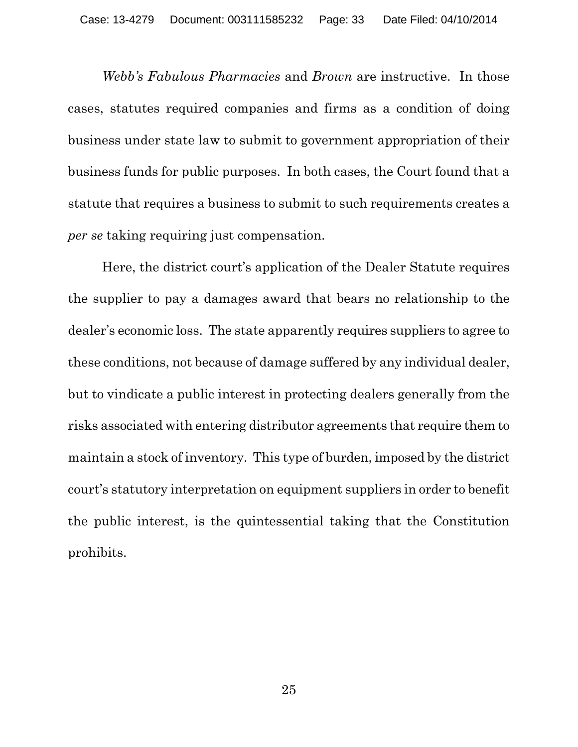<span id="page-32-1"></span><span id="page-32-0"></span>*Webb's Fabulous Pharmacies* and *Brown* are instructive. In those cases, statutes required companies and firms as a condition of doing business under state law to submit to government appropriation of their business funds for public purposes. In both cases, the Court found that a statute that requires a business to submit to such requirements creates a *per se* taking requiring just compensation.

Here, the district court's application of the Dealer Statute requires the supplier to pay a damages award that bears no relationship to the dealer's economic loss. The state apparently requires suppliers to agree to these conditions, not because of damage suffered by any individual dealer, but to vindicate a public interest in protecting dealers generally from the risks associated with entering distributor agreements that require them to maintain a stock of inventory. This type of burden, imposed by the district court's statutory interpretation on equipment suppliers in order to benefit the public interest, is the quintessential taking that the Constitution prohibits.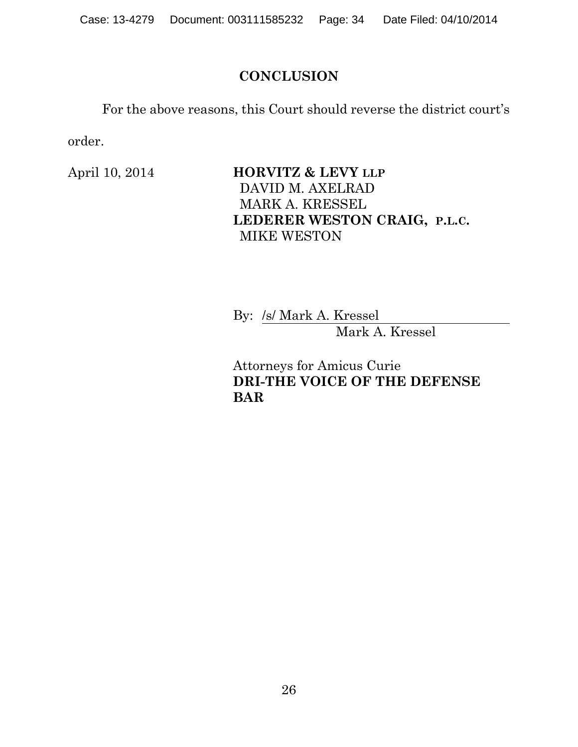## **CONCLUSION**

For the above reasons, this Court should reverse the district court's order.

April 10, 2014 **HORVITZ & LEVY** LLP DAVID M. AXELRAD MARK A. KRESSEL **LEDERER WESTON CRAIG, P.L.C.** MIKE WESTON

> By: /s/ Mark A. Kressel Mark A. Kressel

Attorneys for Amicus Curie **DRI-THE VOICE OF THE DEFENSE BAR**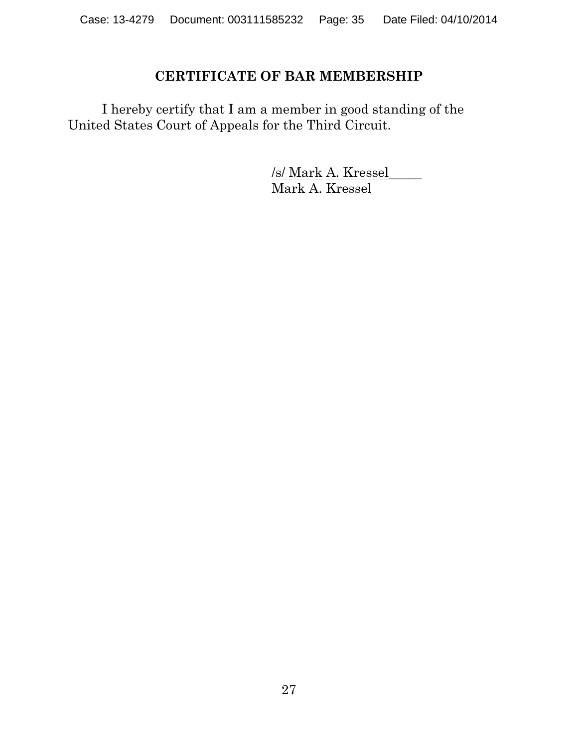## **CERTIFICATE OF BAR MEMBERSHIP**

I hereby certify that I am a member in good standing of the United States Court of Appeals for the Third Circuit.

> /s/ Mark A. Kressel\_\_\_\_\_ Mark A. Kressel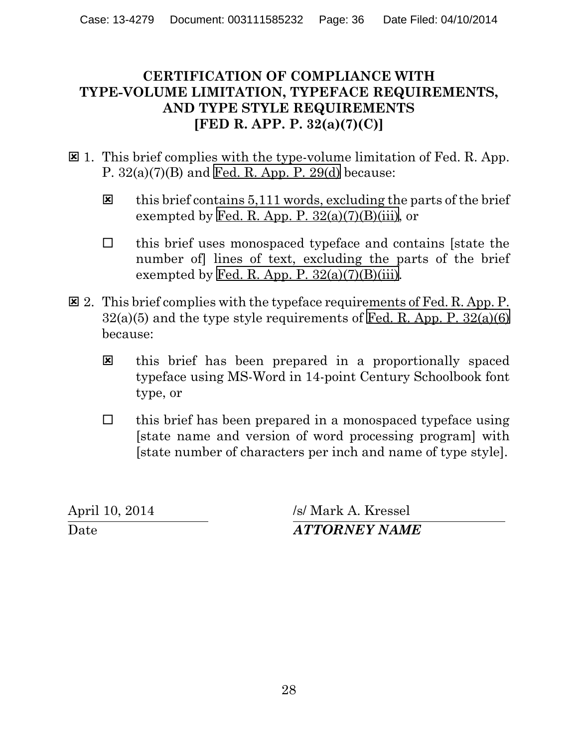## **CERTIFICATION OF COMPLIANCE WITH TYPE-VOLUME LIMITATION, TYPEFACE REQUIREMENTS, AND TYPE STYLE REQUIREMENTS [FED R. APP. P. 32(a)(7)(C)]**

- $\boxtimes$  1. This brief complies with the type-volume limitation of Fed. R. App. P.  $32(a)(7)(B)$  and Fed. R. App. P.  $29(d)$  because:
	- $\boxtimes$  this brief contains 5,111 words, excluding the parts of the brief exempted by Fed. R. App. P.  $32(a)(7)(B)(iii)$ , or
	- $\Box$  this brief uses monospaced typeface and contains [state the number of lines of text, excluding the parts of the brief exempted by Fed. R. App. P.  $32(a)(7)(B)(iii)$ .
- $\Xi$  2. This brief complies with the typeface requirements of Fed. R. App. P.  $32(a)(5)$  and the type style requirements of Fed. R. App. P.  $32(a)(6)$ because:
	- **E** this brief has been prepared in a proportionally spaced typeface using MS-Word in 14-point Century Schoolbook font type, or
	- $\Box$  this brief has been prepared in a monospaced typeface using [state name and version of word processing program] with [state number of characters per inch and name of type style].

April 10, 2014 /s/ Mark A. Kressel Date *ATTORNEY NAME*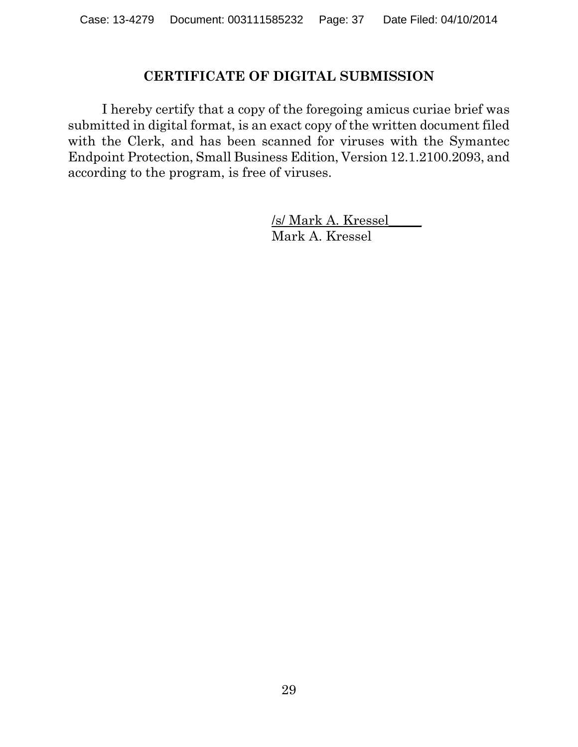#### **CERTIFICATE OF DIGITAL SUBMISSION**

I hereby certify that a copy of the foregoing amicus curiae brief was submitted in digital format, is an exact copy of the written document filed with the Clerk, and has been scanned for viruses with the Symantec Endpoint Protection, Small Business Edition, Version 12.1.2100.2093, and according to the program, is free of viruses.

> <u>/s/ Mark A. Kressel</u>\_\_\_\_\_ Mark A. Kressel